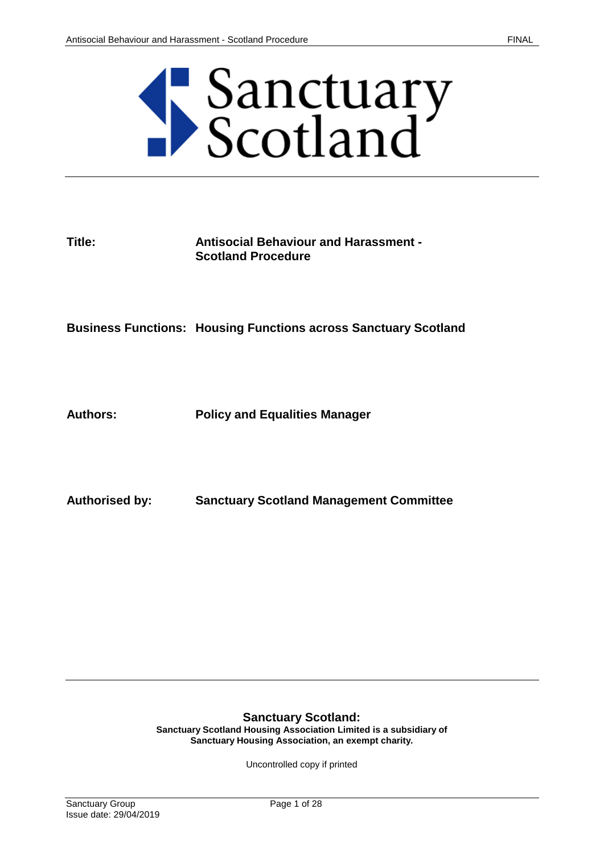

## **Title: Antisocial Behaviour and Harassment - Scotland Procedure**

**Business Functions: Housing Functions across Sanctuary Scotland**

**Authors: Policy and Equalities Manager**

**Authorised by: Sanctuary Scotland Management Committee**

#### **Sanctuary Scotland:**

**Sanctuary Scotland Housing Association Limited is a subsidiary of Sanctuary Housing Association, an exempt charity.**

Uncontrolled copy if printed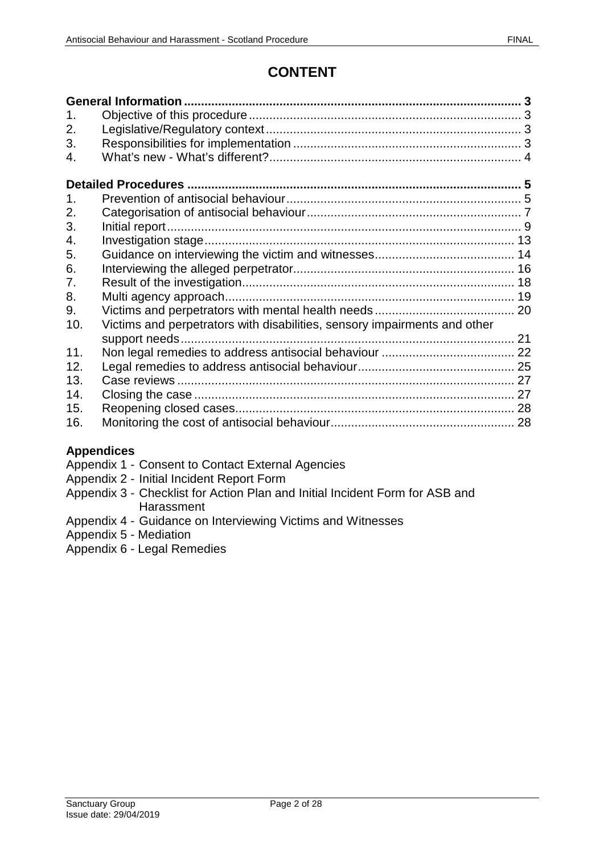# **CONTENT**

| 1 <sub>1</sub> |                                                                           |  |  |
|----------------|---------------------------------------------------------------------------|--|--|
| 2.             |                                                                           |  |  |
| 3.             |                                                                           |  |  |
| 4.             |                                                                           |  |  |
|                |                                                                           |  |  |
|                |                                                                           |  |  |
| 1 <sub>1</sub> |                                                                           |  |  |
| 2.             |                                                                           |  |  |
| 3.             |                                                                           |  |  |
| 4.             |                                                                           |  |  |
| 5.             |                                                                           |  |  |
| 6.             |                                                                           |  |  |
| 7.             |                                                                           |  |  |
| 8.             |                                                                           |  |  |
| 9.             |                                                                           |  |  |
| 10.            | Victims and perpetrators with disabilities, sensory impairments and other |  |  |
|                |                                                                           |  |  |
| 11.            |                                                                           |  |  |
| 12.            |                                                                           |  |  |
| 13.            |                                                                           |  |  |
| 14.            |                                                                           |  |  |
| 15.            |                                                                           |  |  |
| 16.            |                                                                           |  |  |
|                |                                                                           |  |  |

## **Appendices**

- Appendix 1 Consent to Contact External Agencies
- Appendix 2 Initial Incident Report Form
- Appendix 3 Checklist for Action Plan and Initial Incident Form for ASB and **Harassment**
- Appendix 4 Guidance on Interviewing Victims and Witnesses
- Appendix 5 Mediation
- Appendix 6 Legal Remedies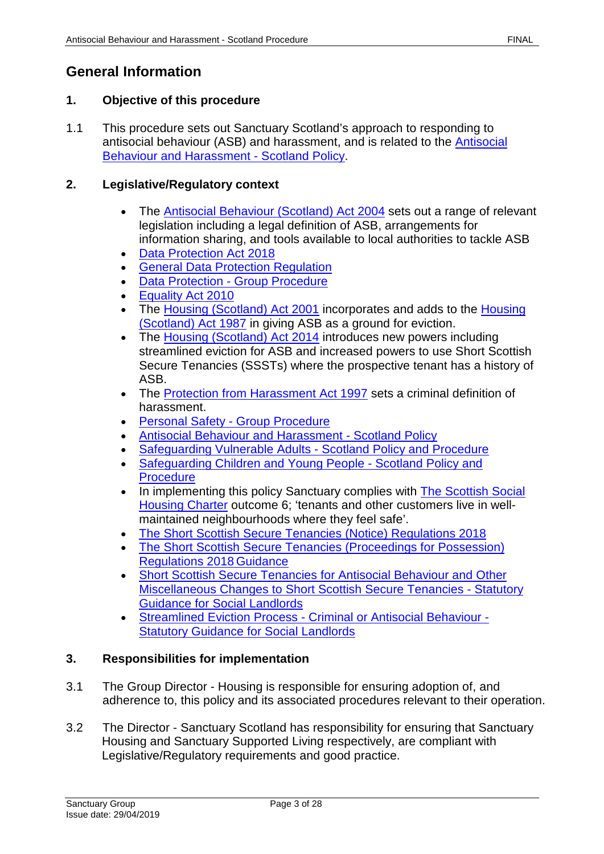# <span id="page-2-1"></span><span id="page-2-0"></span>**1. Objective of this procedure**

1.1 This procedure sets out Sanctuary Scotland's approach to responding to antisocial behaviour (ASB) and harassment, and is related to the [Antisocial](https://solis/PolicyManagement/policy/Policies/Forms/Policy%20Document%20Set/docsethomepage.aspx?ID=4360&FolderCTID=0x0120D52000DE99EA054D4DF944BE591D81E49729D0008C670BDB86BED740B0B89E295CD8357C&List=a03723e1-d48b-4958-9669-9b86a90ef8b0&RootFolder=%2FPolicyManagement%2Fpolicy%2FPolicies%2FAntisocial%20Behaviour%20and%20Harassment%20%2D%20Scotland&RecSrc=%2FPolicyManagement%2Fpolicy%2FPolicies%2FAntisocial%20Behaviour%20and%20Harassment%20%2D%20Scotland)  [Behaviour and Harassment -](https://solis/PolicyManagement/policy/Policies/Forms/Policy%20Document%20Set/docsethomepage.aspx?ID=4360&FolderCTID=0x0120D52000DE99EA054D4DF944BE591D81E49729D0008C670BDB86BED740B0B89E295CD8357C&List=a03723e1-d48b-4958-9669-9b86a90ef8b0&RootFolder=%2FPolicyManagement%2Fpolicy%2FPolicies%2FAntisocial%20Behaviour%20and%20Harassment%20%2D%20Scotland&RecSrc=%2FPolicyManagement%2Fpolicy%2FPolicies%2FAntisocial%20Behaviour%20and%20Harassment%20%2D%20Scotland) Scotland Policy.

# <span id="page-2-2"></span>**2. Legislative/Regulatory context**

- The [Antisocial Behaviour \(Scotland\) Act 2004](http://www.legislation.gov.uk/asp/2004/8/contents) sets out a range of relevant legislation including a legal definition of ASB, arrangements for information sharing, and tools available to local authorities to tackle ASB
- [Data Protection Act 2018](http://www.legislation.gov.uk/ukpga/2018/12/contents/enacted)
- [General Data Protection Regulation](https://ec.europa.eu/info/law/law-topic/data-protection_en)
- Data Protection [Group Procedure](https://solis/PolicyManagement/policy/Policies/Forms/Policy%20Document%20Set/docsethomepage.aspx?ID=4012&FolderCTID=0x0120D52000DE99EA054D4DF944BE591D81E49729D0008C670BDB86BED740B0B89E295CD8357C&List=a03723e1-d48b-4958-9669-9b86a90ef8b0&RootFolder=%2FPolicyManagement%2Fpolicy%2FPolicies%2FData%20Protection%20%2D%20Group&RecSrc=%2FPolicyManagement%2Fpolicy%2FPolicies%2FData%20Protection%20%2D%20Group)
- [Equality Act 2010](https://www.legislation.gov.uk/ukpga/2010/15/contents)
- The Housing [\(Scotland\) Act 2001](https://www.legislation.gov.uk/asp/2001/10/contents) incorporates and adds to the Housing [\(Scotland\) Act 1987](https://www.legislation.gov.uk/ukpga/1987/26/contents) in giving ASB as a ground for eviction.
- The [Housing \(Scotland\) Act 2014](http://www.legislation.gov.uk/asp/2014/14/contents/enacted) introduces new powers including streamlined eviction for ASB and increased powers to use Short Scottish Secure Tenancies (SSSTs) where the prospective tenant has a history of ASB.
- The [Protection from Harassment Act 1997](https://www.legislation.gov.uk/ukpga/1997/40/contents) sets a criminal definition of harassment.
- [Personal Safety -](https://solis/PolicyManagement/policy/Policies/Forms/Policy%20Document%20Set/docsethomepage.aspx?ID=4861&FolderCTID=0x0120D52000DE99EA054D4DF944BE591D81E49729D0008C670BDB86BED740B0B89E295CD8357C&List=a03723e1-d48b-4958-9669-9b86a90ef8b0&RootFolder=%2FPolicyManagement%2Fpolicy%2FPolicies%2FPersonal%20Safety%20%2D%20Group&RecSrc=%2FPolicyManagement%2Fpolicy%2FPolicies%2FPersonal%20Safety%20%2D%20Group) Group Procedure
- [Antisocial Behaviour and Harassment -](https://solis/PolicyManagement/policy/Policies/Forms/Policy%20Document%20Set/docsethomepage.aspx?ID=4360&FolderCTID=0x0120D52000DE99EA054D4DF944BE591D81E49729D0008C670BDB86BED740B0B89E295CD8357C&List=a03723e1-d48b-4958-9669-9b86a90ef8b0&RootFolder=%2FPolicyManagement%2Fpolicy%2FPolicies%2FAntisocial%20Behaviour%20and%20Harassment%20%2D%20Scotland&RecSrc=%2FPolicyManagement%2Fpolicy%2FPolicies%2FAntisocial%20Behaviour%20and%20Harassment%20%2D%20Scotland) Scotland Policy
- [Safeguarding Vulnerable Adults -](https://solis/PolicyManagement/policy/Policies/Forms/Policy%20Document%20Set/docsethomepage.aspx?ID=3835&FolderCTID=0x0120D52000DE99EA054D4DF944BE591D81E49729D0008C670BDB86BED740B0B89E295CD8357C&List=a03723e1-d48b-4958-9669-9b86a90ef8b0&RootFolder=%2FPolicyManagement%2Fpolicy%2FPolicies%2FSafeguarding%20Vulnerable%20Adults%20%2D%20Scotland&RecSrc=%2FPolicyManagement%2Fpolicy%2FPolicies%2FSafeguarding%20Vulnerable%20Adults%20%2D%20Scotland) Scotland Policy and Procedure
- [Safeguarding Children and Young People -](https://solis/PolicyManagement/policy/Policies/Forms/Policy%20Document%20Set/docsethomepage.aspx?ID=3874&FolderCTID=0x0120D52000DE99EA054D4DF944BE591D81E49729D0008C670BDB86BED740B0B89E295CD8357C&List=a03723e1-d48b-4958-9669-9b86a90ef8b0&RootFolder=%2FPolicyManagement%2Fpolicy%2FPolicies%2FSafeguarding%20Children%20and%20Young%20People%20%2D%20Scotland&RecSrc=%2FPolicyManagement%2Fpolicy%2FPolicies%2FSafeguarding%20Children%20and%20Young%20People%20%2D%20Scotland) Scotland Policy and **[Procedure](https://solis/PolicyManagement/policy/Policies/Forms/Policy%20Document%20Set/docsethomepage.aspx?ID=3874&FolderCTID=0x0120D52000DE99EA054D4DF944BE591D81E49729D0008C670BDB86BED740B0B89E295CD8357C&List=a03723e1-d48b-4958-9669-9b86a90ef8b0&RootFolder=%2FPolicyManagement%2Fpolicy%2FPolicies%2FSafeguarding%20Children%20and%20Young%20People%20%2D%20Scotland&RecSrc=%2FPolicyManagement%2Fpolicy%2FPolicies%2FSafeguarding%20Children%20and%20Young%20People%20%2D%20Scotland)**
- In implementing this policy Sanctuary complies with **The Scottish Social** [Housing Charter](https://www.scottishhousingregulator.gov.uk/) outcome 6; 'tenants and other customers live in wellmaintained neighbourhoods where they feel safe'.
- [The Short Scottish Secure Tenancies \(Notice\) Regulations 2018](http://www.legislation.gov.uk/ssi/2018/154/contents/made)
- [The Short Scottish Secure Tenancies \(Proceedings for Possession\)](http://www.legislation.gov.uk/ssi/2018/155/contents/made)  [Regulations](http://www.legislation.gov.uk/ssi/2018/155/contents/made) 2018 Guidance
- [Short Scottish Secure Tenancies for Antisocial Behaviour and Other](https://www.gov.scot/policies/social-housing/)  [Miscellaneous Changes to Short Scottish Secure Tenancies -](https://www.gov.scot/policies/social-housing/) Statutory [Guidance for Social Landlords](https://www.gov.scot/policies/social-housing/)
- Streamlined Eviction Process [Criminal or Antisocial Behaviour -](https://www.gov.scot/policies/social-housing/) [Statutory Guidance for Social Landlords](https://www.gov.scot/policies/social-housing/)

## <span id="page-2-3"></span>**3. Responsibilities for implementation**

- 3.1 The Group Director Housing is responsible for ensuring adoption of, and adherence to, this policy and its associated procedures relevant to their operation.
- 3.2 The Director Sanctuary Scotland has responsibility for ensuring that Sanctuary Housing and Sanctuary Supported Living respectively, are compliant with Legislative/Regulatory requirements and good practice.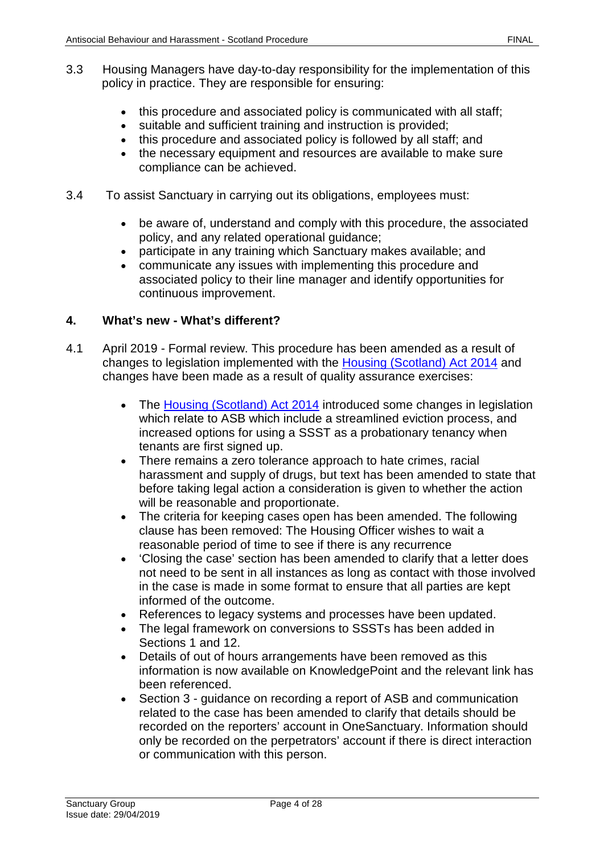- this procedure and associated policy is communicated with all staff;
- suitable and sufficient training and instruction is provided;
- this procedure and associated policy is followed by all staff; and
- the necessary equipment and resources are available to make sure compliance can be achieved.
- 3.4 To assist Sanctuary in carrying out its obligations, employees must:
	- be aware of, understand and comply with this procedure, the associated policy, and any related operational guidance;
	- participate in any training which Sanctuary makes available; and
	- communicate any issues with implementing this procedure and associated policy to their line manager and identify opportunities for continuous improvement.

## <span id="page-3-0"></span>**4. What's new - What's different?**

- 4.1 April 2019 Formal review. This procedure has been amended as a result of changes to legislation implemented with the [Housing \(Scotland\) Act 2014](http://www.legislation.gov.uk/asp/2014/14/contents/enacted) and changes have been made as a result of quality assurance exercises:
	- The [Housing \(Scotland\) Act 2014](http://www.legislation.gov.uk/asp/2014/14/contents/enacted) introduced some changes in legislation which relate to ASB which include a streamlined eviction process, and increased options for using a SSST as a probationary tenancy when tenants are first signed up.
	- There remains a zero tolerance approach to hate crimes, racial harassment and supply of drugs, but text has been amended to state that before taking legal action a consideration is given to whether the action will be reasonable and proportionate.
	- The criteria for keeping cases open has been amended. The following clause has been removed: The Housing Officer wishes to wait a reasonable period of time to see if there is any recurrence
	- 'Closing the case' section has been amended to clarify that a letter does not need to be sent in all instances as long as contact with those involved in the case is made in some format to ensure that all parties are kept informed of the outcome.
	- References to legacy systems and processes have been updated.
	- The legal framework on conversions to SSSTs has been added in Sections 1 and 12.
	- Details of out of hours arrangements have been removed as this information is now available on KnowledgePoint and the relevant link has been referenced.
	- Section 3 guidance on recording a report of ASB and communication related to the case has been amended to clarify that details should be recorded on the reporters' account in OneSanctuary. Information should only be recorded on the perpetrators' account if there is direct interaction or communication with this person.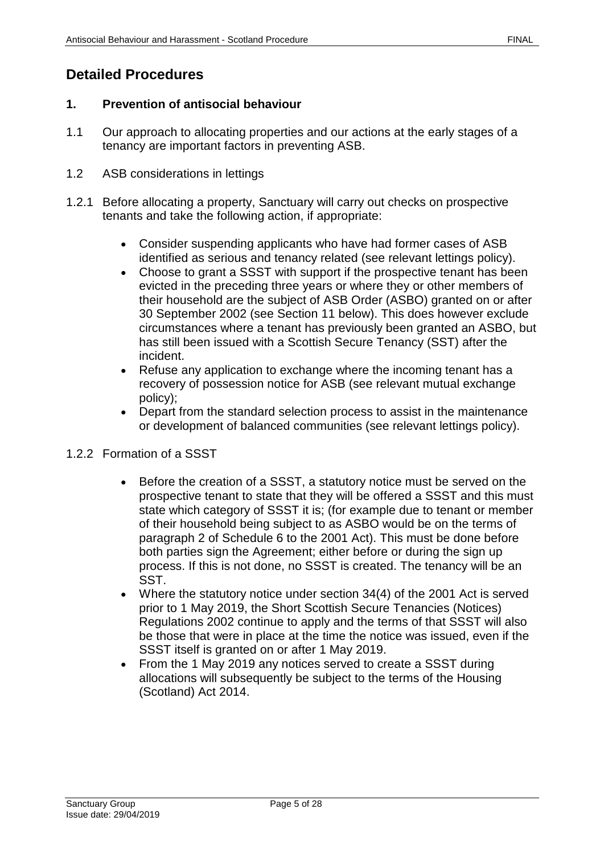# <span id="page-4-1"></span><span id="page-4-0"></span>**1. Prevention of antisocial behaviour**

- 1.1 Our approach to allocating properties and our actions at the early stages of a tenancy are important factors in preventing ASB.
- 1.2 ASB considerations in lettings
- 1.2.1 Before allocating a property, Sanctuary will carry out checks on prospective tenants and take the following action, if appropriate:
	- Consider suspending applicants who have had former cases of ASB identified as serious and tenancy related (see relevant lettings policy).
	- Choose to grant a SSST with support if the prospective tenant has been evicted in the preceding three years or where they or other members of their household are the subject of ASB Order (ASBO) granted on or after 30 September 2002 (see Section 11 below). This does however exclude circumstances where a tenant has previously been granted an ASBO, but has still been issued with a Scottish Secure Tenancy (SST) after the incident.
	- Refuse any application to exchange where the incoming tenant has a recovery of possession notice for ASB (see relevant mutual exchange policy);
	- Depart from the standard selection process to assist in the maintenance or development of balanced communities (see relevant lettings policy).

# 1.2.2 Formation of a SSST

- Before the creation of a SSST, a statutory notice must be served on the prospective tenant to state that they will be offered a SSST and this must state which category of SSST it is; (for example due to tenant or member of their household being subject to as ASBO would be on the terms of paragraph 2 of Schedule 6 to the 2001 Act). This must be done before both parties sign the Agreement; either before or during the sign up process. If this is not done, no SSST is created. The tenancy will be an SST.
- Where the statutory notice under section 34(4) of the 2001 Act is served prior to 1 May 2019, the Short Scottish Secure Tenancies (Notices) Regulations 2002 continue to apply and the terms of that SSST will also be those that were in place at the time the notice was issued, even if the SSST itself is granted on or after 1 May 2019.
- From the 1 May 2019 any notices served to create a SSST during allocations will subsequently be subject to the terms of the Housing (Scotland) Act 2014.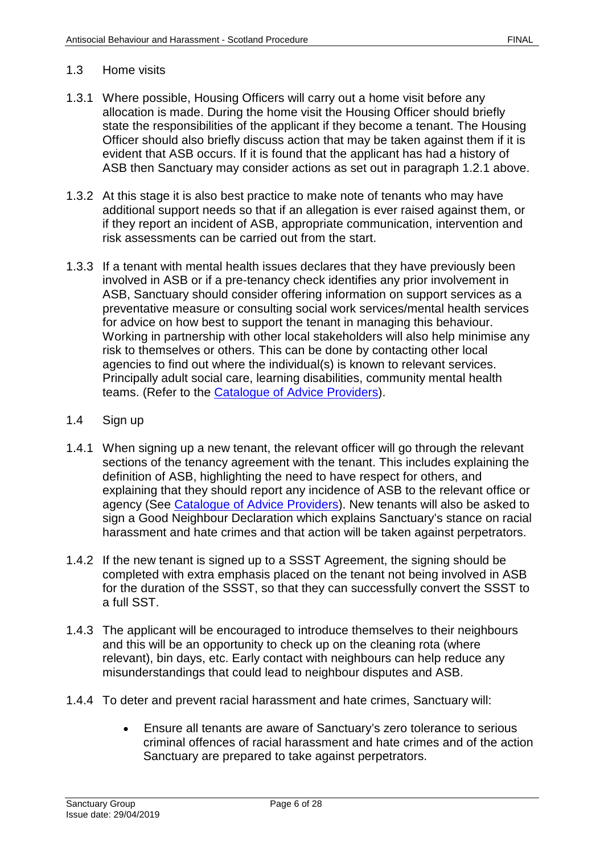#### 1.3 Home visits

- 1.3.1 Where possible, Housing Officers will carry out a home visit before any allocation is made. During the home visit the Housing Officer should briefly state the responsibilities of the applicant if they become a tenant. The Housing Officer should also briefly discuss action that may be taken against them if it is evident that ASB occurs. If it is found that the applicant has had a history of ASB then Sanctuary may consider actions as set out in paragraph 1.2.1 above.
- 1.3.2 At this stage it is also best practice to make note of tenants who may have additional support needs so that if an allegation is ever raised against them, or if they report an incident of ASB, appropriate communication, intervention and risk assessments can be carried out from the start.
- 1.3.3 If a tenant with mental health issues declares that they have previously been involved in ASB or if a pre-tenancy check identifies any prior involvement in ASB, Sanctuary should consider offering information on support services as a preventative measure or consulting social work services/mental health services for advice on how best to support the tenant in managing this behaviour. Working in partnership with other local stakeholders will also help minimise any risk to themselves or others. This can be done by contacting other local agencies to find out where the individual(s) is known to relevant services. Principally adult social care, learning disabilities, community mental health teams. (Refer to the **Catalogue of Advice Providers**).
- 1.4 Sign up
- 1.4.1 When signing up a new tenant, the relevant officer will go through the relevant sections of the tenancy agreement with the tenant. This includes explaining the definition of ASB, highlighting the need to have respect for others, and explaining that they should report any incidence of ASB to the relevant office or agency (See [Catalogue of Advice Providers\)](file://service/shared/Scotland/Sanctuary%20in%20Scotland/Policies%20and%20Procedures/Catalogue%20of%20advice%20providers). New tenants will also be asked to sign a Good Neighbour Declaration which explains Sanctuary's stance on racial harassment and hate crimes and that action will be taken against perpetrators.
- 1.4.2 If the new tenant is signed up to a SSST Agreement, the signing should be completed with extra emphasis placed on the tenant not being involved in ASB for the duration of the SSST, so that they can successfully convert the SSST to a full SST.
- 1.4.3 The applicant will be encouraged to introduce themselves to their neighbours and this will be an opportunity to check up on the cleaning rota (where relevant), bin days, etc. Early contact with neighbours can help reduce any misunderstandings that could lead to neighbour disputes and ASB.
- 1.4.4 To deter and prevent racial harassment and hate crimes, Sanctuary will:
	- Ensure all tenants are aware of Sanctuary's zero tolerance to serious criminal offences of racial harassment and hate crimes and of the action Sanctuary are prepared to take against perpetrators.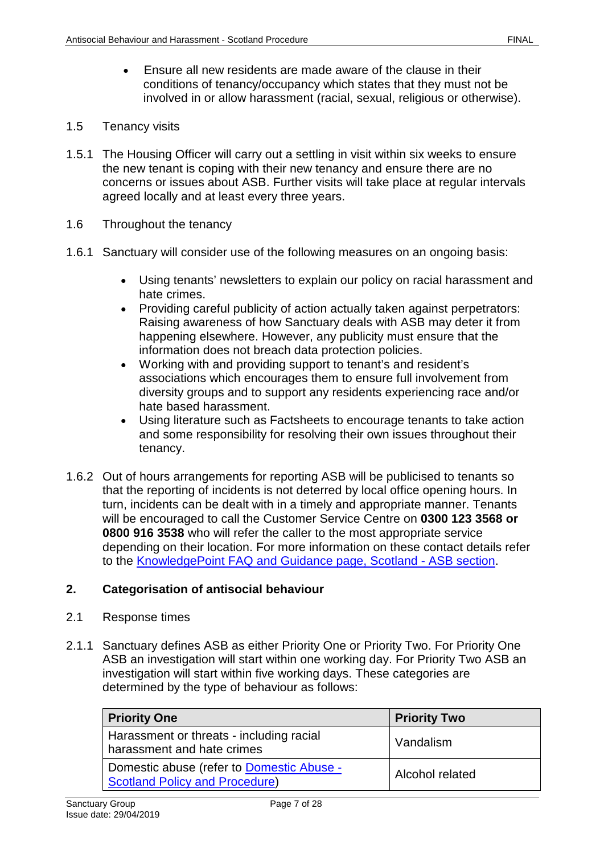- Ensure all new residents are made aware of the clause in their conditions of tenancy/occupancy which states that they must not be involved in or allow harassment (racial, sexual, religious or otherwise).
- 1.5 Tenancy visits
- 1.5.1 The Housing Officer will carry out a settling in visit within six weeks to ensure the new tenant is coping with their new tenancy and ensure there are no concerns or issues about ASB. Further visits will take place at regular intervals agreed locally and at least every three years.
- 1.6 Throughout the tenancy
- 1.6.1 Sanctuary will consider use of the following measures on an ongoing basis:
	- Using tenants' newsletters to explain our policy on racial harassment and hate crimes.
	- Providing careful publicity of action actually taken against perpetrators: Raising awareness of how Sanctuary deals with ASB may deter it from happening elsewhere. However, any publicity must ensure that the information does not breach data protection policies.
	- Working with and providing support to tenant's and resident's associations which encourages them to ensure full involvement from diversity groups and to support any residents experiencing race and/or hate based harassment.
	- Using literature such as Factsheets to encourage tenants to take action and some responsibility for resolving their own issues throughout their tenancy.
- 1.6.2 Out of hours arrangements for reporting ASB will be publicised to tenants so that the reporting of incidents is not deterred by local office opening hours. In turn, incidents can be dealt with in a timely and appropriate manner. Tenants will be encouraged to call the Customer Service Centre on **0300 123 3568 or 0800 916 3538** who will refer the caller to the most appropriate service depending on their location. For more information on these contact details refer to the [KnowledgePoint FAQ and Guidance](https://knowledgepoint/repairs/faq/housing/Pages/ASB.aspx) page, Scotland - ASB section.

## <span id="page-6-0"></span>**2. Categorisation of antisocial behaviour**

- 2.1 Response times
- 2.1.1 Sanctuary defines ASB as either Priority One or Priority Two. For Priority One ASB an investigation will start within one working day. For Priority Two ASB an investigation will start within five working days. These categories are determined by the type of behaviour as follows:

| <b>Priority One</b>                                                                | <b>Priority Two</b>    |
|------------------------------------------------------------------------------------|------------------------|
| Harassment or threats - including racial<br>harassment and hate crimes             | Vandalism              |
| Domestic abuse (refer to Domestic Abuse -<br><b>Scotland Policy and Procedure)</b> | <b>Alcohol related</b> |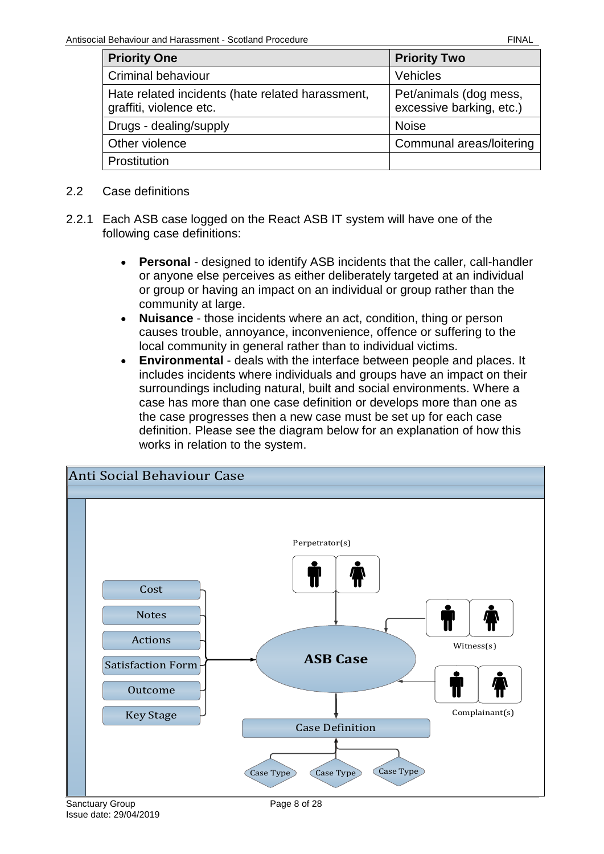| <b>Priority One</b>                                                         | <b>Priority Two</b>                                |
|-----------------------------------------------------------------------------|----------------------------------------------------|
| Criminal behaviour                                                          | <b>Vehicles</b>                                    |
| Hate related incidents (hate related harassment,<br>graffiti, violence etc. | Pet/animals (dog mess,<br>excessive barking, etc.) |
| Drugs - dealing/supply                                                      | <b>Noise</b>                                       |
| Other violence                                                              | Communal areas/loitering                           |
| Prostitution                                                                |                                                    |

- 2.2 Case definitions
- 2.2.1 Each ASB case logged on the React ASB IT system will have one of the following case definitions:
	- **Personal** designed to identify ASB incidents that the caller, call-handler or anyone else perceives as either deliberately targeted at an individual or group or having an impact on an individual or group rather than the community at large.
	- **Nuisance** those incidents where an act, condition, thing or person causes trouble, annoyance, inconvenience, offence or suffering to the local community in general rather than to individual victims.
	- **Environmental** deals with the interface between people and places. It includes incidents where individuals and groups have an impact on their surroundings including natural, built and social environments. Where a case has more than one case definition or develops more than one as the case progresses then a new case must be set up for each case definition. Please see the diagram below for an explanation of how this works in relation to the system.

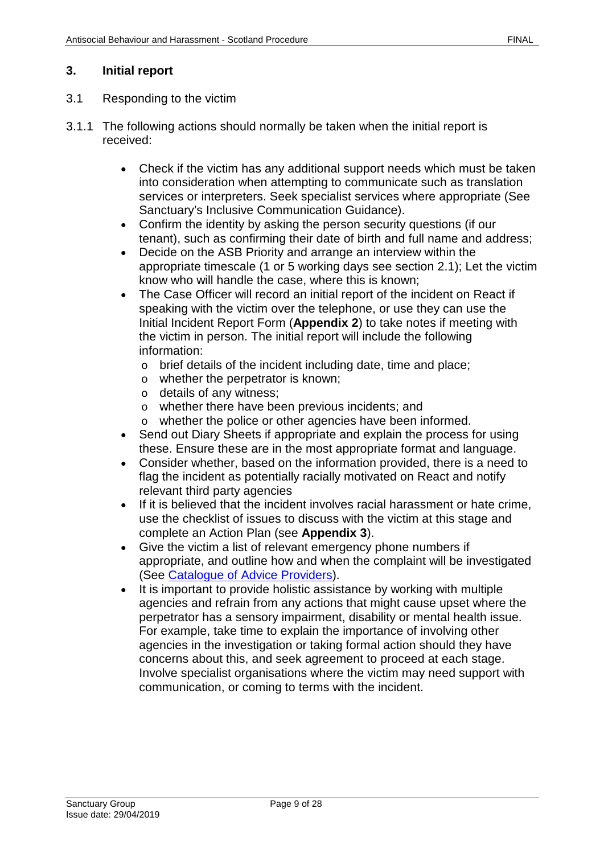## <span id="page-8-0"></span>**3. Initial report**

#### 3.1 Responding to the victim

- 3.1.1 The following actions should normally be taken when the initial report is received:
	- Check if the victim has any additional support needs which must be taken into consideration when attempting to communicate such as translation services or interpreters. Seek specialist services where appropriate (See Sanctuary's Inclusive Communication Guidance).
	- Confirm the identity by asking the person security questions (if our tenant), such as confirming their date of birth and full name and address;
	- Decide on the ASB Priority and arrange an interview within the appropriate timescale (1 or 5 working days see section 2.1); Let the victim know who will handle the case, where this is known;
	- The Case Officer will record an initial report of the incident on React if speaking with the victim over the telephone, or use they can use the Initial Incident Report Form (**Appendix 2**) to take notes if meeting with the victim in person. The initial report will include the following information:
		- o brief details of the incident including date, time and place;
		- o whether the perpetrator is known;
		- o details of any witness;
		- o whether there have been previous incidents; and
		- o whether the police or other agencies have been informed.
	- Send out Diary Sheets if appropriate and explain the process for using these. Ensure these are in the most appropriate format and language.
	- Consider whether, based on the information provided, there is a need to flag the incident as potentially racially motivated on React and notify relevant third party agencies
	- If it is believed that the incident involves racial harassment or hate crime, use the checklist of issues to discuss with the victim at this stage and complete an Action Plan (see **Appendix 3**).
	- Give the victim a list of relevant emergency phone numbers if appropriate, and outline how and when the complaint will be investigated (See [Catalogue of Advice Providers\)](file://service/shared/Scotland/Sanctuary%20in%20Scotland/Policies%20and%20Procedures/Catalogue%20of%20advice%20providers).
	- It is important to provide holistic assistance by working with multiple agencies and refrain from any actions that might cause upset where the perpetrator has a sensory impairment, disability or mental health issue. For example, take time to explain the importance of involving other agencies in the investigation or taking formal action should they have concerns about this, and seek agreement to proceed at each stage. Involve specialist organisations where the victim may need support with communication, or coming to terms with the incident.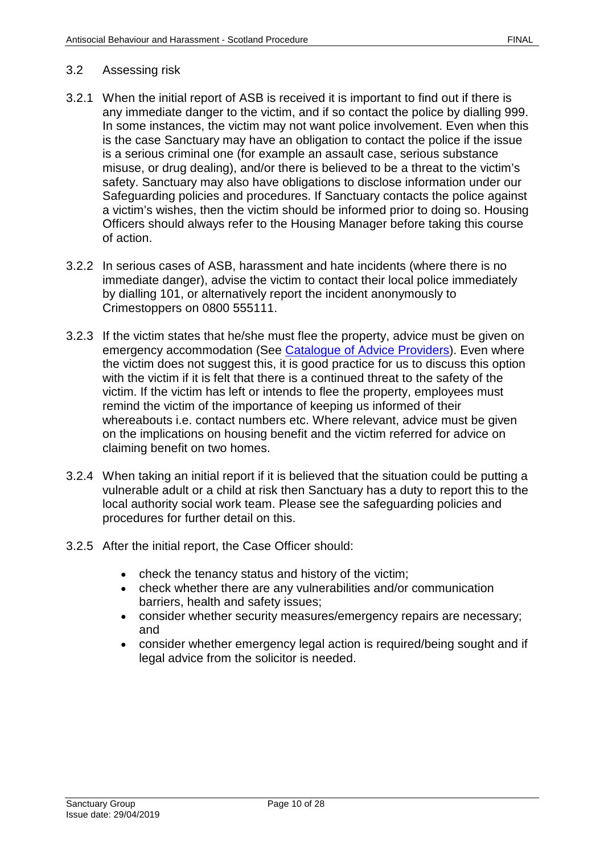#### 3.2 Assessing risk

- 3.2.1 When the initial report of ASB is received it is important to find out if there is any immediate danger to the victim, and if so contact the police by dialling 999. In some instances, the victim may not want police involvement. Even when this is the case Sanctuary may have an obligation to contact the police if the issue is a serious criminal one (for example an assault case, serious substance misuse, or drug dealing), and/or there is believed to be a threat to the victim's safety. Sanctuary may also have obligations to disclose information under our Safeguarding policies and procedures. If Sanctuary contacts the police against a victim's wishes, then the victim should be informed prior to doing so. Housing Officers should always refer to the Housing Manager before taking this course of action.
- 3.2.2 In serious cases of ASB, harassment and hate incidents (where there is no immediate danger), advise the victim to contact their local police immediately by dialling 101, or alternatively report the incident anonymously to Crimestoppers on 0800 555111.
- 3.2.3 If the victim states that he/she must flee the property, advice must be given on emergency accommodation (See [Catalogue of Advice Providers\)](file://service/shared/Scotland/Sanctuary%20in%20Scotland/Policies%20and%20Procedures/Catalogue%20of%20advice%20providers). Even where the victim does not suggest this, it is good practice for us to discuss this option with the victim if it is felt that there is a continued threat to the safety of the victim. If the victim has left or intends to flee the property, employees must remind the victim of the importance of keeping us informed of their whereabouts i.e. contact numbers etc. Where relevant, advice must be given on the implications on housing benefit and the victim referred for advice on claiming benefit on two homes.
- 3.2.4 When taking an initial report if it is believed that the situation could be putting a vulnerable adult or a child at risk then Sanctuary has a duty to report this to the local authority social work team. Please see the safeguarding policies and procedures for further detail on this.
- 3.2.5 After the initial report, the Case Officer should:
	- check the tenancy status and history of the victim;
	- check whether there are any vulnerabilities and/or communication barriers, health and safety issues;
	- consider whether security measures/emergency repairs are necessary; and
	- consider whether emergency legal action is required/being sought and if legal advice from the solicitor is needed.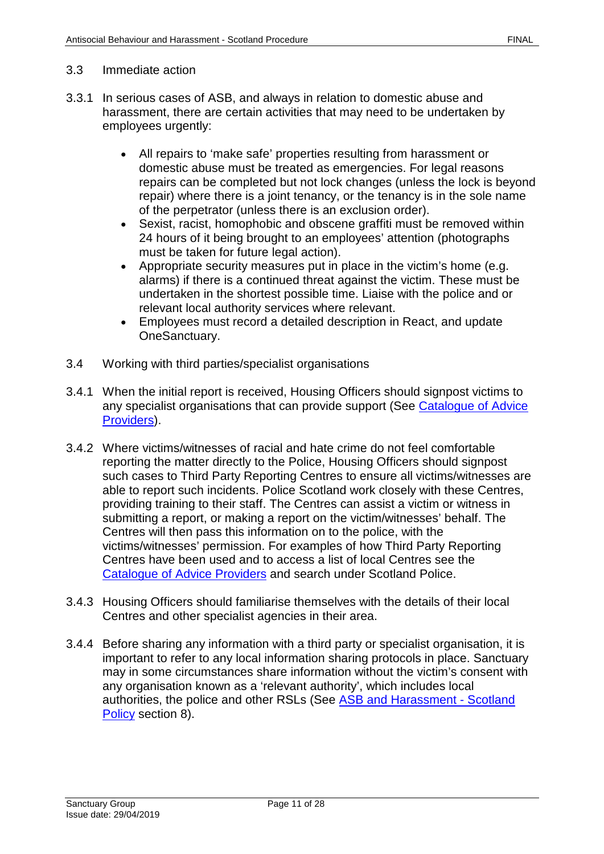#### 3.3 Immediate action

- 3.3.1 In serious cases of ASB, and always in relation to domestic abuse and harassment, there are certain activities that may need to be undertaken by employees urgently:
	- All repairs to 'make safe' properties resulting from harassment or domestic abuse must be treated as emergencies. For legal reasons repairs can be completed but not lock changes (unless the lock is beyond repair) where there is a joint tenancy, or the tenancy is in the sole name of the perpetrator (unless there is an exclusion order).
	- Sexist, racist, homophobic and obscene graffiti must be removed within 24 hours of it being brought to an employees' attention (photographs must be taken for future legal action).
	- Appropriate security measures put in place in the victim's home (e.g. alarms) if there is a continued threat against the victim. These must be undertaken in the shortest possible time. Liaise with the police and or relevant local authority services where relevant.
	- Employees must record a detailed description in React, and update OneSanctuary.
- 3.4 Working with third parties/specialist organisations
- 3.4.1 When the initial report is received, Housing Officers should signpost victims to any specialist organisations that can provide support (See Catalogue of Advice [Providers\)](file://service/shared/Scotland/Sanctuary%20in%20Scotland/Policies%20and%20Procedures/Catalogue%20of%20advice%20providers).
- 3.4.2 Where victims/witnesses of racial and hate crime do not feel comfortable reporting the matter directly to the Police, Housing Officers should signpost such cases to Third Party Reporting Centres to ensure all victims/witnesses are able to report such incidents. Police Scotland work closely with these Centres, providing training to their staff. The Centres can assist a victim or witness in submitting a report, or making a report on the victim/witnesses' behalf. The Centres will then pass this information on to the police, with the victims/witnesses' permission. For examples of how Third Party Reporting Centres have been used and to access a list of local Centres see the [Catalogue of Advice Providers](file://service/shared/Scotland/Sanctuary%20in%20Scotland/Policies%20and%20Procedures/Catalogue%20of%20advice%20providers) and search under Scotland Police.
- 3.4.3 Housing Officers should familiarise themselves with the details of their local Centres and other specialist agencies in their area.
- 3.4.4 Before sharing any information with a third party or specialist organisation, it is important to refer to any local information sharing protocols in place. Sanctuary may in some circumstances share information without the victim's consent with any organisation known as a 'relevant authority', which includes local authorities, the police and other RSLs (See ASB [and Harassment](https://solis/PolicyManagement/policy/Policies/Forms/Policy%20Document%20Set/docsethomepage.aspx?ID=4360&FolderCTID=0x0120D52000DE99EA054D4DF944BE591D81E49729D0008C670BDB86BED740B0B89E295CD8357C&List=a03723e1-d48b-4958-9669-9b86a90ef8b0&RootFolder=%2FPolicyManagement%2Fpolicy%2FPolicies%2FAntisocial%20Behaviour%20and%20Harassment%20%2D%20Scotland&RecSrc=%2FPolicyManagement%2Fpolicy%2FPolicies%2FAntisocial%20Behaviour%20and%20Harassment%20%2D%20Scotland) - Scotland [Policy](https://solis/PolicyManagement/policy/Policies/Forms/Policy%20Document%20Set/docsethomepage.aspx?ID=4360&FolderCTID=0x0120D52000DE99EA054D4DF944BE591D81E49729D0008C670BDB86BED740B0B89E295CD8357C&List=a03723e1-d48b-4958-9669-9b86a90ef8b0&RootFolder=%2FPolicyManagement%2Fpolicy%2FPolicies%2FAntisocial%20Behaviour%20and%20Harassment%20%2D%20Scotland&RecSrc=%2FPolicyManagement%2Fpolicy%2FPolicies%2FAntisocial%20Behaviour%20and%20Harassment%20%2D%20Scotland) section 8).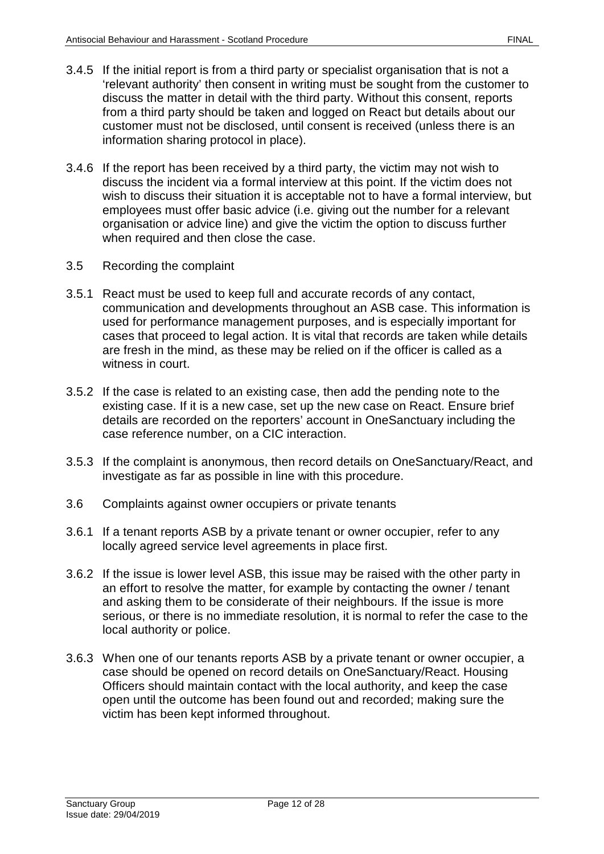- 3.4.5 If the initial report is from a third party or specialist organisation that is not a 'relevant authority' then consent in writing must be sought from the customer to discuss the matter in detail with the third party. Without this consent, reports from a third party should be taken and logged on React but details about our customer must not be disclosed, until consent is received (unless there is an information sharing protocol in place).
- 3.4.6 If the report has been received by a third party, the victim may not wish to discuss the incident via a formal interview at this point. If the victim does not wish to discuss their situation it is acceptable not to have a formal interview, but employees must offer basic advice (i.e. giving out the number for a relevant organisation or advice line) and give the victim the option to discuss further when required and then close the case.
- 3.5 Recording the complaint
- 3.5.1 React must be used to keep full and accurate records of any contact, communication and developments throughout an ASB case. This information is used for performance management purposes, and is especially important for cases that proceed to legal action. It is vital that records are taken while details are fresh in the mind, as these may be relied on if the officer is called as a witness in court.
- 3.5.2 If the case is related to an existing case, then add the pending note to the existing case. If it is a new case, set up the new case on React. Ensure brief details are recorded on the reporters' account in OneSanctuary including the case reference number, on a CIC interaction.
- 3.5.3 If the complaint is anonymous, then record details on OneSanctuary/React, and investigate as far as possible in line with this procedure.
- 3.6 Complaints against owner occupiers or private tenants
- 3.6.1 If a tenant reports ASB by a private tenant or owner occupier, refer to any locally agreed service level agreements in place first.
- 3.6.2 If the issue is lower level ASB, this issue may be raised with the other party in an effort to resolve the matter, for example by contacting the owner / tenant and asking them to be considerate of their neighbours. If the issue is more serious, or there is no immediate resolution, it is normal to refer the case to the local authority or police.
- 3.6.3 When one of our tenants reports ASB by a private tenant or owner occupier, a case should be opened on record details on OneSanctuary/React. Housing Officers should maintain contact with the local authority, and keep the case open until the outcome has been found out and recorded; making sure the victim has been kept informed throughout.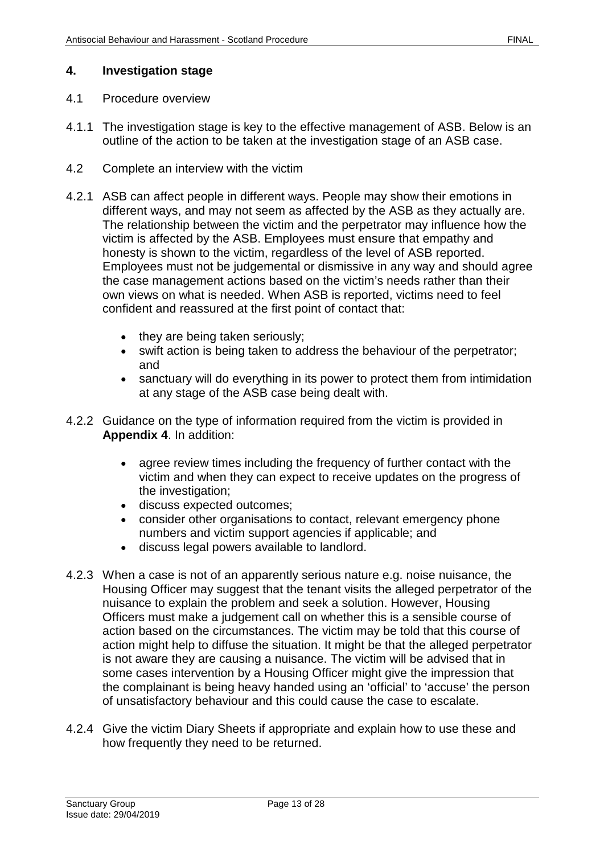#### <span id="page-12-0"></span>**4. Investigation stage**

- 4.1 Procedure overview
- 4.1.1 The investigation stage is key to the effective management of ASB. Below is an outline of the action to be taken at the investigation stage of an ASB case.
- 4.2 Complete an interview with the victim
- 4.2.1 ASB can affect people in different ways. People may show their emotions in different ways, and may not seem as affected by the ASB as they actually are. The relationship between the victim and the perpetrator may influence how the victim is affected by the ASB. Employees must ensure that empathy and honesty is shown to the victim, regardless of the level of ASB reported. Employees must not be judgemental or dismissive in any way and should agree the case management actions based on the victim's needs rather than their own views on what is needed. When ASB is reported, victims need to feel confident and reassured at the first point of contact that:
	- they are being taken seriously;
	- swift action is being taken to address the behaviour of the perpetrator; and
	- sanctuary will do everything in its power to protect them from intimidation at any stage of the ASB case being dealt with.
- 4.2.2 Guidance on the type of information required from the victim is provided in **Appendix 4**. In addition:
	- agree review times including the frequency of further contact with the victim and when they can expect to receive updates on the progress of the investigation;
	- discuss expected outcomes;
	- consider other organisations to contact, relevant emergency phone numbers and victim support agencies if applicable; and
	- discuss legal powers available to landlord.
- 4.2.3 When a case is not of an apparently serious nature e.g. noise nuisance, the Housing Officer may suggest that the tenant visits the alleged perpetrator of the nuisance to explain the problem and seek a solution. However, Housing Officers must make a judgement call on whether this is a sensible course of action based on the circumstances. The victim may be told that this course of action might help to diffuse the situation. It might be that the alleged perpetrator is not aware they are causing a nuisance. The victim will be advised that in some cases intervention by a Housing Officer might give the impression that the complainant is being heavy handed using an 'official' to 'accuse' the person of unsatisfactory behaviour and this could cause the case to escalate.
- 4.2.4 Give the victim Diary Sheets if appropriate and explain how to use these and how frequently they need to be returned.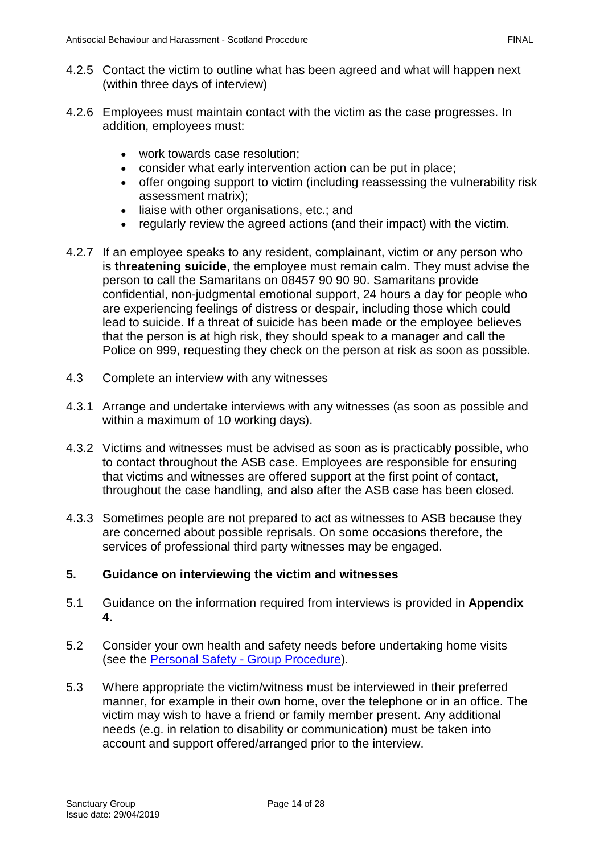- 4.2.5 Contact the victim to outline what has been agreed and what will happen next (within three days of interview)
- 4.2.6 Employees must maintain contact with the victim as the case progresses. In addition, employees must:
	- work towards case resolution;
	- consider what early intervention action can be put in place;
	- offer ongoing support to victim (including reassessing the vulnerability risk assessment matrix);
	- liaise with other organisations, etc.; and
	- regularly review the agreed actions (and their impact) with the victim.
- 4.2.7 If an employee speaks to any resident, complainant, victim or any person who is **threatening suicide**, the employee must remain calm. They must advise the person to call the Samaritans on 08457 90 90 90. Samaritans provide confidential, non-judgmental emotional support, 24 hours a day for people who are experiencing feelings of distress or despair, including those which could lead to suicide. If a threat of suicide has been made or the employee believes that the person is at high risk, they should speak to a manager and call the Police on 999, requesting they check on the person at risk as soon as possible.
- 4.3 Complete an interview with any witnesses
- 4.3.1 Arrange and undertake interviews with any witnesses (as soon as possible and within a maximum of 10 working days).
- 4.3.2 Victims and witnesses must be advised as soon as is practicably possible, who to contact throughout the ASB case. Employees are responsible for ensuring that victims and witnesses are offered support at the first point of contact, throughout the case handling, and also after the ASB case has been closed.
- 4.3.3 Sometimes people are not prepared to act as witnesses to ASB because they are concerned about possible reprisals. On some occasions therefore, the services of professional third party witnesses may be engaged.

#### <span id="page-13-0"></span>**5. Guidance on interviewing the victim and witnesses**

- 5.1 Guidance on the information required from interviews is provided in **Appendix 4**.
- 5.2 Consider your own health and safety needs before undertaking home visits (see the Personal Safety - [Group Procedure\)](https://solis/PolicyManagement/policy/Policies/Forms/Policy%20Document%20Set/docsethomepage.aspx?ID=4861&FolderCTID=0x0120D52000DE99EA054D4DF944BE591D81E49729D0008C670BDB86BED740B0B89E295CD8357C&List=a03723e1-d48b-4958-9669-9b86a90ef8b0&RootFolder=%2FPolicyManagement%2Fpolicy%2FPolicies%2FPersonal%20Safety%20%2D%20Group&RecSrc=%2FPolicyManagement%2Fpolicy%2FPolicies%2FPersonal%20Safety%20%2D%20Group).
- 5.3 Where appropriate the victim/witness must be interviewed in their preferred manner, for example in their own home, over the telephone or in an office. The victim may wish to have a friend or family member present. Any additional needs (e.g. in relation to disability or communication) must be taken into account and support offered/arranged prior to the interview.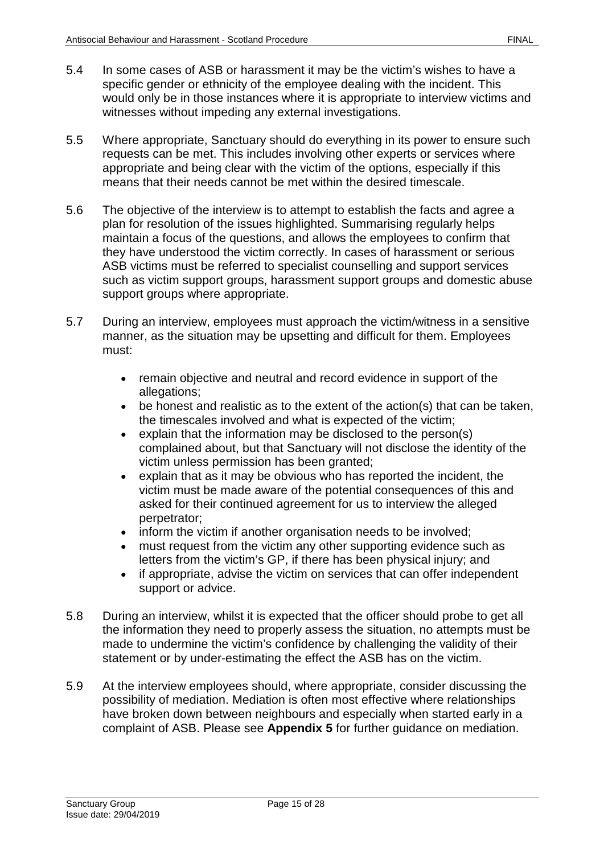- 5.4 In some cases of ASB or harassment it may be the victim's wishes to have a specific gender or ethnicity of the employee dealing with the incident. This would only be in those instances where it is appropriate to interview victims and witnesses without impeding any external investigations.
- 5.5 Where appropriate, Sanctuary should do everything in its power to ensure such requests can be met. This includes involving other experts or services where appropriate and being clear with the victim of the options, especially if this means that their needs cannot be met within the desired timescale.
- 5.6 The objective of the interview is to attempt to establish the facts and agree a plan for resolution of the issues highlighted. Summarising regularly helps maintain a focus of the questions, and allows the employees to confirm that they have understood the victim correctly. In cases of harassment or serious ASB victims must be referred to specialist counselling and support services such as victim support groups, harassment support groups and domestic abuse support groups where appropriate.
- 5.7 During an interview, employees must approach the victim/witness in a sensitive manner, as the situation may be upsetting and difficult for them. Employees must:
	- remain objective and neutral and record evidence in support of the allegations;
	- be honest and realistic as to the extent of the action(s) that can be taken, the timescales involved and what is expected of the victim;
	- explain that the information may be disclosed to the person(s) complained about, but that Sanctuary will not disclose the identity of the victim unless permission has been granted;
	- explain that as it may be obvious who has reported the incident, the victim must be made aware of the potential consequences of this and asked for their continued agreement for us to interview the alleged perpetrator;
	- inform the victim if another organisation needs to be involved;
	- must request from the victim any other supporting evidence such as letters from the victim's GP, if there has been physical injury; and
	- if appropriate, advise the victim on services that can offer independent support or advice.
- 5.8 During an interview, whilst it is expected that the officer should probe to get all the information they need to properly assess the situation, no attempts must be made to undermine the victim's confidence by challenging the validity of their statement or by under-estimating the effect the ASB has on the victim.
- 5.9 At the interview employees should, where appropriate, consider discussing the possibility of mediation. Mediation is often most effective where relationships have broken down between neighbours and especially when started early in a complaint of ASB. Please see **Appendix 5** for further guidance on mediation.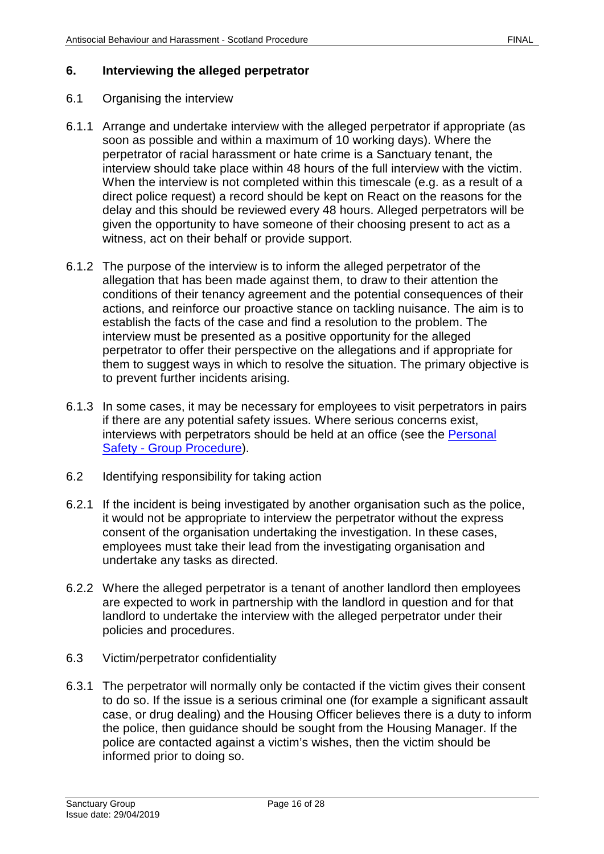#### <span id="page-15-0"></span>**6. Interviewing the alleged perpetrator**

#### 6.1 Organising the interview

- 6.1.1 Arrange and undertake interview with the alleged perpetrator if appropriate (as soon as possible and within a maximum of 10 working days). Where the perpetrator of racial harassment or hate crime is a Sanctuary tenant, the interview should take place within 48 hours of the full interview with the victim. When the interview is not completed within this timescale (e.g. as a result of a direct police request) a record should be kept on React on the reasons for the delay and this should be reviewed every 48 hours. Alleged perpetrators will be given the opportunity to have someone of their choosing present to act as a witness, act on their behalf or provide support.
- 6.1.2 The purpose of the interview is to inform the alleged perpetrator of the allegation that has been made against them, to draw to their attention the conditions of their tenancy agreement and the potential consequences of their actions, and reinforce our proactive stance on tackling nuisance. The aim is to establish the facts of the case and find a resolution to the problem. The interview must be presented as a positive opportunity for the alleged perpetrator to offer their perspective on the allegations and if appropriate for them to suggest ways in which to resolve the situation. The primary objective is to prevent further incidents arising.
- 6.1.3 In some cases, it may be necessary for employees to visit perpetrators in pairs if there are any potential safety issues. Where serious concerns exist, interviews with perpetrators should be held at an office (see the [Personal](https://solis/PolicyManagement/policy/Policies/Forms/Policy%20Document%20Set/docsethomepage.aspx?ID=4861&FolderCTID=0x0120D52000DE99EA054D4DF944BE591D81E49729D0008C670BDB86BED740B0B89E295CD8357C&List=a03723e1-d48b-4958-9669-9b86a90ef8b0&RootFolder=%2FPolicyManagement%2Fpolicy%2FPolicies%2FPersonal%20Safety%20%2D%20Group&RecSrc=%2FPolicyManagement%2Fpolicy%2FPolicies%2FPersonal%20Safety%20%2D%20Group)  Safety - [Group Procedure\)](https://solis/PolicyManagement/policy/Policies/Forms/Policy%20Document%20Set/docsethomepage.aspx?ID=4861&FolderCTID=0x0120D52000DE99EA054D4DF944BE591D81E49729D0008C670BDB86BED740B0B89E295CD8357C&List=a03723e1-d48b-4958-9669-9b86a90ef8b0&RootFolder=%2FPolicyManagement%2Fpolicy%2FPolicies%2FPersonal%20Safety%20%2D%20Group&RecSrc=%2FPolicyManagement%2Fpolicy%2FPolicies%2FPersonal%20Safety%20%2D%20Group).
- 6.2 Identifying responsibility for taking action
- 6.2.1 If the incident is being investigated by another organisation such as the police, it would not be appropriate to interview the perpetrator without the express consent of the organisation undertaking the investigation. In these cases, employees must take their lead from the investigating organisation and undertake any tasks as directed.
- 6.2.2 Where the alleged perpetrator is a tenant of another landlord then employees are expected to work in partnership with the landlord in question and for that landlord to undertake the interview with the alleged perpetrator under their policies and procedures.
- 6.3 Victim/perpetrator confidentiality
- 6.3.1 The perpetrator will normally only be contacted if the victim gives their consent to do so. If the issue is a serious criminal one (for example a significant assault case, or drug dealing) and the Housing Officer believes there is a duty to inform the police, then guidance should be sought from the Housing Manager. If the police are contacted against a victim's wishes, then the victim should be informed prior to doing so.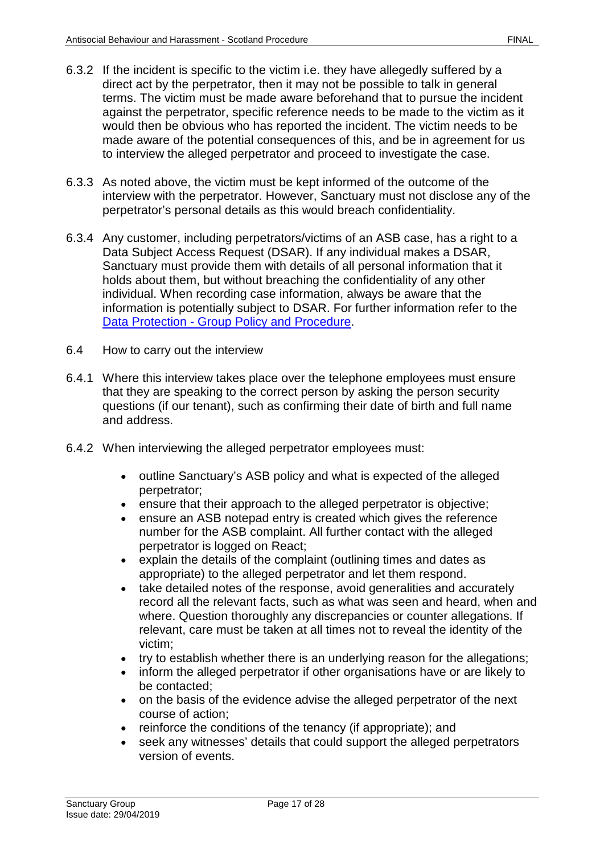- 6.3.2 If the incident is specific to the victim i.e. they have allegedly suffered by a direct act by the perpetrator, then it may not be possible to talk in general terms. The victim must be made aware beforehand that to pursue the incident against the perpetrator, specific reference needs to be made to the victim as it would then be obvious who has reported the incident. The victim needs to be made aware of the potential consequences of this, and be in agreement for us to interview the alleged perpetrator and proceed to investigate the case.
- 6.3.3 As noted above, the victim must be kept informed of the outcome of the interview with the perpetrator. However, Sanctuary must not disclose any of the perpetrator's personal details as this would breach confidentiality.
- 6.3.4 Any customer, including perpetrators/victims of an ASB case, has a right to a Data Subject Access Request (DSAR). If any individual makes a DSAR, Sanctuary must provide them with details of all personal information that it holds about them, but without breaching the confidentiality of any other individual. When recording case information, always be aware that the information is potentially subject to DSAR. For further information refer to the Data Protection - Group [Policy and Procedure.](https://solis/PolicyManagement/policy/Policies/Forms/Policy%20Document%20Set/docsethomepage.aspx?ID=4012&FolderCTID=0x0120D52000DE99EA054D4DF944BE591D81E49729D0008C670BDB86BED740B0B89E295CD8357C&List=a03723e1-d48b-4958-9669-9b86a90ef8b0&RootFolder=%2FPolicyManagement%2Fpolicy%2FPolicies%2FData%20Protection%20%2D%20Group&RecSrc=%2FPolicyManagement%2Fpolicy%2FPolicies%2FData%20Protection%20%2D%20Group)
- 6.4 How to carry out the interview
- 6.4.1 Where this interview takes place over the telephone employees must ensure that they are speaking to the correct person by asking the person security questions (if our tenant), such as confirming their date of birth and full name and address.
- 6.4.2 When interviewing the alleged perpetrator employees must:
	- outline Sanctuary's ASB policy and what is expected of the alleged perpetrator;
	- ensure that their approach to the alleged perpetrator is objective;
	- ensure an ASB notepad entry is created which gives the reference number for the ASB complaint. All further contact with the alleged perpetrator is logged on React;
	- explain the details of the complaint (outlining times and dates as appropriate) to the alleged perpetrator and let them respond.
	- take detailed notes of the response, avoid generalities and accurately record all the relevant facts, such as what was seen and heard, when and where. Question thoroughly any discrepancies or counter allegations. If relevant, care must be taken at all times not to reveal the identity of the victim;
	- try to establish whether there is an underlying reason for the allegations;
	- inform the alleged perpetrator if other organisations have or are likely to be contacted;
	- on the basis of the evidence advise the alleged perpetrator of the next course of action;
	- reinforce the conditions of the tenancy (if appropriate); and
	- seek any witnesses' details that could support the alleged perpetrators version of events.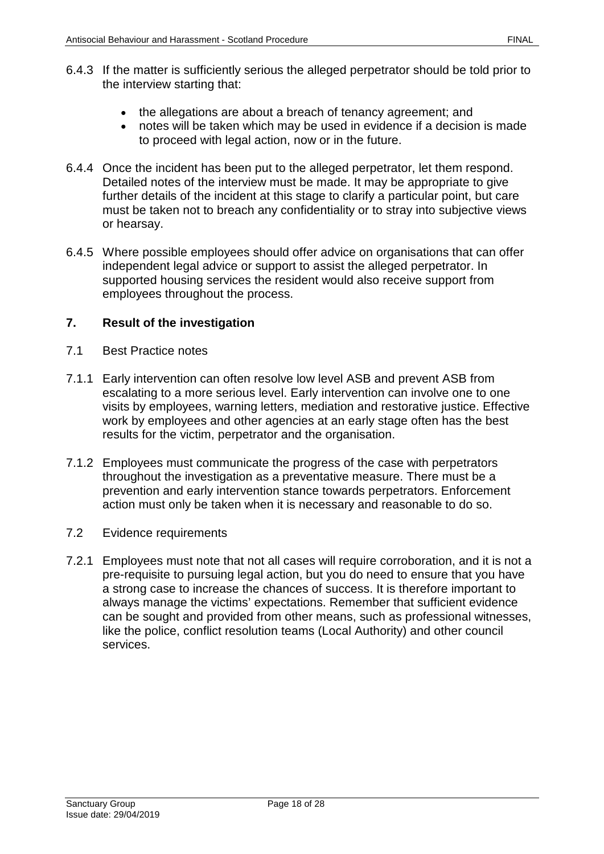- 6.4.3 If the matter is sufficiently serious the alleged perpetrator should be told prior to the interview starting that:
	- the allegations are about a breach of tenancy agreement; and
	- notes will be taken which may be used in evidence if a decision is made to proceed with legal action, now or in the future.
- 6.4.4 Once the incident has been put to the alleged perpetrator, let them respond. Detailed notes of the interview must be made. It may be appropriate to give further details of the incident at this stage to clarify a particular point, but care must be taken not to breach any confidentiality or to stray into subjective views or hearsay.
- 6.4.5 Where possible employees should offer advice on organisations that can offer independent legal advice or support to assist the alleged perpetrator. In supported housing services the resident would also receive support from employees throughout the process.

#### <span id="page-17-0"></span>**7. Result of the investigation**

- 7.1 Best Practice notes
- 7.1.1 Early intervention can often resolve low level ASB and prevent ASB from escalating to a more serious level. Early intervention can involve one to one visits by employees, warning letters, mediation and restorative justice. Effective work by employees and other agencies at an early stage often has the best results for the victim, perpetrator and the organisation.
- 7.1.2 Employees must communicate the progress of the case with perpetrators throughout the investigation as a preventative measure. There must be a prevention and early intervention stance towards perpetrators. Enforcement action must only be taken when it is necessary and reasonable to do so.
- 7.2 Evidence requirements
- 7.2.1 Employees must note that not all cases will require corroboration, and it is not a pre-requisite to pursuing legal action, but you do need to ensure that you have a strong case to increase the chances of success. It is therefore important to always manage the victims' expectations. Remember that sufficient evidence can be sought and provided from other means, such as professional witnesses, like the police, conflict resolution teams (Local Authority) and other council services.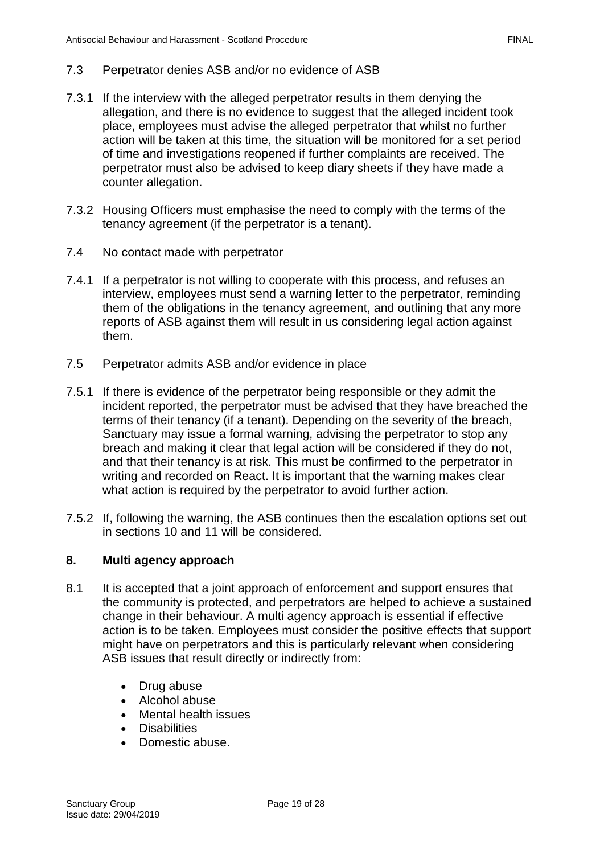- 7.3 Perpetrator denies ASB and/or no evidence of ASB
- 7.3.1 If the interview with the alleged perpetrator results in them denying the allegation, and there is no evidence to suggest that the alleged incident took place, employees must advise the alleged perpetrator that whilst no further action will be taken at this time, the situation will be monitored for a set period of time and investigations reopened if further complaints are received. The perpetrator must also be advised to keep diary sheets if they have made a counter allegation.
- 7.3.2 Housing Officers must emphasise the need to comply with the terms of the tenancy agreement (if the perpetrator is a tenant).
- 7.4 No contact made with perpetrator
- 7.4.1 If a perpetrator is not willing to cooperate with this process, and refuses an interview, employees must send a warning letter to the perpetrator, reminding them of the obligations in the tenancy agreement, and outlining that any more reports of ASB against them will result in us considering legal action against them.
- 7.5 Perpetrator admits ASB and/or evidence in place
- 7.5.1 If there is evidence of the perpetrator being responsible or they admit the incident reported, the perpetrator must be advised that they have breached the terms of their tenancy (if a tenant). Depending on the severity of the breach, Sanctuary may issue a formal warning, advising the perpetrator to stop any breach and making it clear that legal action will be considered if they do not, and that their tenancy is at risk. This must be confirmed to the perpetrator in writing and recorded on React. It is important that the warning makes clear what action is required by the perpetrator to avoid further action.
- 7.5.2 If, following the warning, the ASB continues then the escalation options set out in sections 10 and 11 will be considered.

#### <span id="page-18-0"></span>**8. Multi agency approach**

- 8.1 It is accepted that a joint approach of enforcement and support ensures that the community is protected, and perpetrators are helped to achieve a sustained change in their behaviour. A multi agency approach is essential if effective action is to be taken. Employees must consider the positive effects that support might have on perpetrators and this is particularly relevant when considering ASB issues that result directly or indirectly from:
	- Drug abuse
	- Alcohol abuse
	- Mental health issues
	- Disabilities
	- Domestic abuse.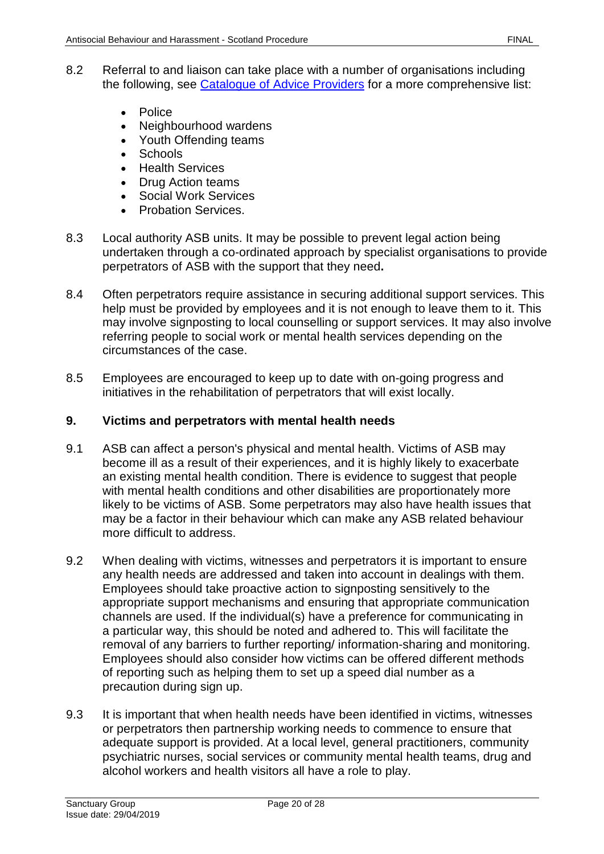- 8.2 Referral to and liaison can take place with a number of organisations including the following, see [Catalogue of Advice Providers](file://service/shared/Scotland/Sanctuary%20in%20Scotland/Policies%20and%20Procedures/Catalogue%20of%20advice%20providers) for a more comprehensive list:
	- Police
	- Neighbourhood wardens
	- Youth Offending teams
	- Schools
	- Health Services
	- Drug Action teams
	- Social Work Services
	- Probation Services.
- 8.3 Local authority ASB units. It may be possible to prevent legal action being undertaken through a co-ordinated approach by specialist organisations to provide perpetrators of ASB with the support that they need**.**
- 8.4 Often perpetrators require assistance in securing additional support services. This help must be provided by employees and it is not enough to leave them to it. This may involve signposting to local counselling or support services. It may also involve referring people to social work or mental health services depending on the circumstances of the case.
- 8.5 Employees are encouraged to keep up to date with on-going progress and initiatives in the rehabilitation of perpetrators that will exist locally.

#### <span id="page-19-0"></span>**9. Victims and perpetrators with mental health needs**

- 9.1 ASB can affect a person's physical and mental health. Victims of ASB may become ill as a result of their experiences, and it is highly likely to exacerbate an existing mental health condition. There is evidence to suggest that people with mental health conditions and other disabilities are proportionately more likely to be victims of ASB. Some perpetrators may also have health issues that may be a factor in their behaviour which can make any ASB related behaviour more difficult to address.
- 9.2 When dealing with victims, witnesses and perpetrators it is important to ensure any health needs are addressed and taken into account in dealings with them. Employees should take proactive action to signposting sensitively to the appropriate support mechanisms and ensuring that appropriate communication channels are used. If the individual(s) have a preference for communicating in a particular way, this should be noted and adhered to. This will facilitate the removal of any barriers to further reporting/ information-sharing and monitoring. Employees should also consider how victims can be offered different methods of reporting such as helping them to set up a speed dial number as a precaution during sign up.
- 9.3 It is important that when health needs have been identified in victims, witnesses or perpetrators then partnership working needs to commence to ensure that adequate support is provided. At a local level, general practitioners, community psychiatric nurses, social services or community mental health teams, drug and alcohol workers and health visitors all have a role to play.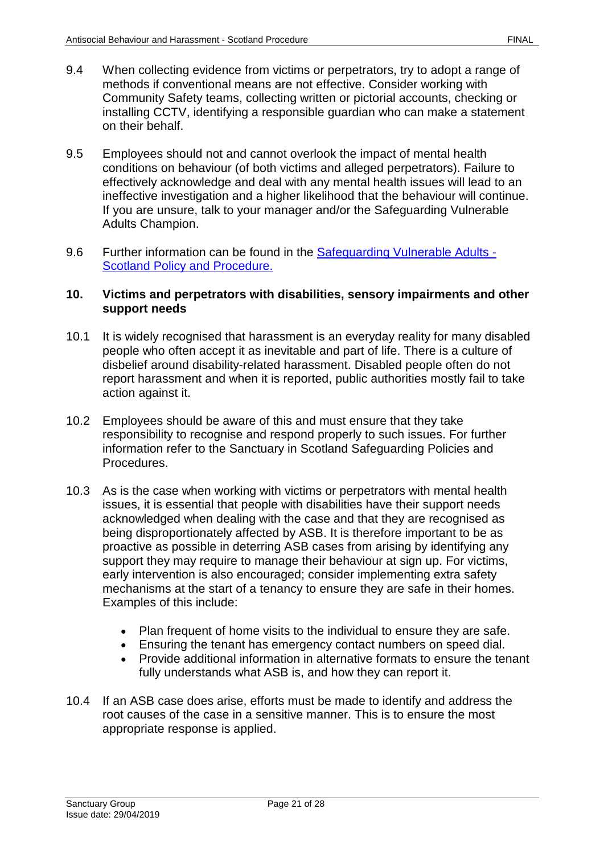- 9.4 When collecting evidence from victims or perpetrators, try to adopt a range of methods if conventional means are not effective. Consider working with Community Safety teams, collecting written or pictorial accounts, checking or installing CCTV, identifying a responsible guardian who can make a statement on their behalf.
- 9.5 Employees should not and cannot overlook the impact of mental health conditions on behaviour (of both victims and alleged perpetrators). Failure to effectively acknowledge and deal with any mental health issues will lead to an ineffective investigation and a higher likelihood that the behaviour will continue. If you are unsure, talk to your manager and/or the Safeguarding Vulnerable Adults Champion.
- 9.6 Further information can be found in the [Safeguarding Vulnerable Adults -](https://solis/PolicyManagement/policy/Policies/Forms/Policy%20Document%20Set/docsethomepage.aspx?ID=3835&FolderCTID=0x0120D52000DE99EA054D4DF944BE591D81E49729D0008C670BDB86BED740B0B89E295CD8357C&List=a03723e1-d48b-4958-9669-9b86a90ef8b0&RootFolder=%2FPolicyManagement%2Fpolicy%2FPolicies%2FSafeguarding%20Vulnerable%20Adults%20%2D%20Scotland&RecSrc=%2FPolicyManagement%2Fpolicy%2FPolicies%2FSafeguarding%20Vulnerable%20Adults%20%2D%20Scotland) [Scotland Policy and Procedure.](https://solis/PolicyManagement/policy/Policies/Forms/Policy%20Document%20Set/docsethomepage.aspx?ID=3835&FolderCTID=0x0120D52000DE99EA054D4DF944BE591D81E49729D0008C670BDB86BED740B0B89E295CD8357C&List=a03723e1-d48b-4958-9669-9b86a90ef8b0&RootFolder=%2FPolicyManagement%2Fpolicy%2FPolicies%2FSafeguarding%20Vulnerable%20Adults%20%2D%20Scotland&RecSrc=%2FPolicyManagement%2Fpolicy%2FPolicies%2FSafeguarding%20Vulnerable%20Adults%20%2D%20Scotland)

#### <span id="page-20-0"></span>**10. Victims and perpetrators with disabilities, sensory impairments and other support needs**

- 10.1 It is widely recognised that harassment is an everyday reality for many disabled people who often accept it as inevitable and part of life. There is a culture of disbelief around disability-related harassment. Disabled people often do not report harassment and when it is reported, public authorities mostly fail to take action against it.
- 10.2 Employees should be aware of this and must ensure that they take responsibility to recognise and respond properly to such issues. For further information refer to the Sanctuary in Scotland Safeguarding Policies and Procedures.
- 10.3 As is the case when working with victims or perpetrators with mental health issues, it is essential that people with disabilities have their support needs acknowledged when dealing with the case and that they are recognised as being disproportionately affected by ASB. It is therefore important to be as proactive as possible in deterring ASB cases from arising by identifying any support they may require to manage their behaviour at sign up. For victims, early intervention is also encouraged; consider implementing extra safety mechanisms at the start of a tenancy to ensure they are safe in their homes. Examples of this include:
	- Plan frequent of home visits to the individual to ensure they are safe.
	- Ensuring the tenant has emergency contact numbers on speed dial.
	- Provide additional information in alternative formats to ensure the tenant fully understands what ASB is, and how they can report it.
- 10.4 If an ASB case does arise, efforts must be made to identify and address the root causes of the case in a sensitive manner. This is to ensure the most appropriate response is applied.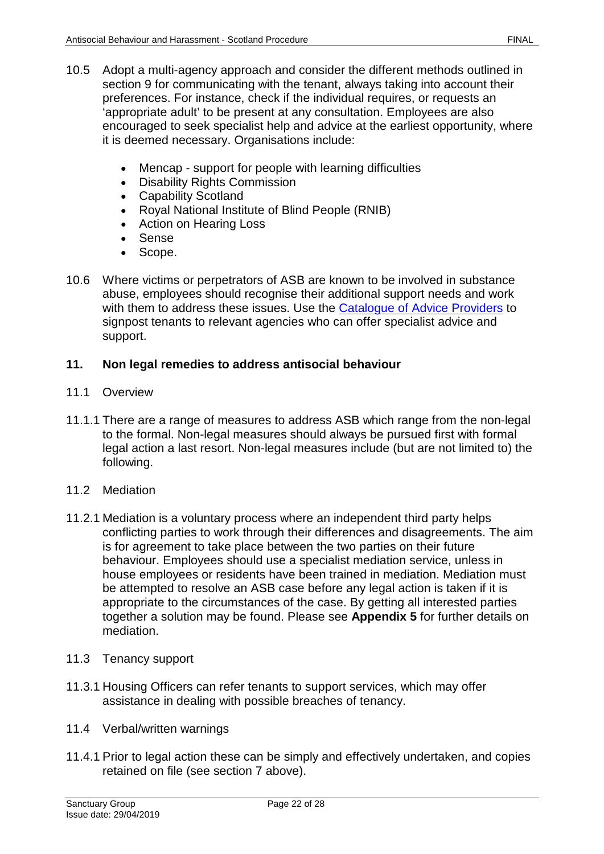- 10.5 Adopt a multi-agency approach and consider the different methods outlined in section 9 for communicating with the tenant, always taking into account their preferences. For instance, check if the individual requires, or requests an 'appropriate adult' to be present at any consultation. Employees are also encouraged to seek specialist help and advice at the earliest opportunity, where it is deemed necessary. Organisations include:
	- Mencap support for people with learning difficulties
	- Disability Rights Commission
	- Capability Scotland
	- Royal National Institute of Blind People (RNIB)
	- Action on Hearing Loss
	- Sense
	- Scope.
- 10.6 Where victims or perpetrators of ASB are known to be involved in substance abuse, employees should recognise their additional support needs and work with them to address these issues. Use the **Catalogue of Advice Providers** to signpost tenants to relevant agencies who can offer specialist advice and support.

## <span id="page-21-0"></span>**11. Non legal remedies to address antisocial behaviour**

- 11.1 Overview
- 11.1.1 There are a range of measures to address ASB which range from the non-legal to the formal. Non-legal measures should always be pursued first with formal legal action a last resort. Non-legal measures include (but are not limited to) the following.
- 11.2 Mediation
- 11.2.1 Mediation is a voluntary process where an independent third party helps conflicting parties to work through their differences and disagreements. The aim is for agreement to take place between the two parties on their future behaviour. Employees should use a specialist mediation service, unless in house employees or residents have been trained in mediation. Mediation must be attempted to resolve an ASB case before any legal action is taken if it is appropriate to the circumstances of the case. By getting all interested parties together a solution may be found. Please see **Appendix 5** for further details on mediation.
- 11.3 Tenancy support
- 11.3.1 Housing Officers can refer tenants to support services, which may offer assistance in dealing with possible breaches of tenancy.
- 11.4 Verbal/written warnings
- 11.4.1 Prior to legal action these can be simply and effectively undertaken, and copies retained on file (see section 7 above).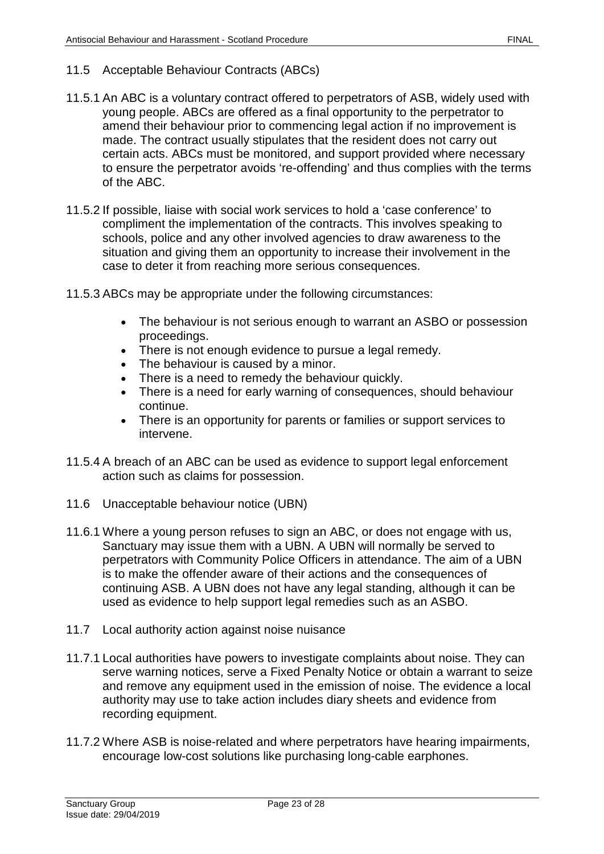- 11.5 Acceptable Behaviour Contracts (ABCs)
- 11.5.1 An ABC is a voluntary contract offered to perpetrators of ASB, widely used with young people. ABCs are offered as a final opportunity to the perpetrator to amend their behaviour prior to commencing legal action if no improvement is made. The contract usually stipulates that the resident does not carry out certain acts. ABCs must be monitored, and support provided where necessary to ensure the perpetrator avoids 're-offending' and thus complies with the terms of the ABC.
- 11.5.2 If possible, liaise with social work services to hold a 'case conference' to compliment the implementation of the contracts. This involves speaking to schools, police and any other involved agencies to draw awareness to the situation and giving them an opportunity to increase their involvement in the case to deter it from reaching more serious consequences.
- 11.5.3 ABCs may be appropriate under the following circumstances:
	- The behaviour is not serious enough to warrant an ASBO or possession proceedings.
	- There is not enough evidence to pursue a legal remedy.
	- The behaviour is caused by a minor.
	- There is a need to remedy the behaviour quickly.
	- There is a need for early warning of consequences, should behaviour continue.
	- There is an opportunity for parents or families or support services to intervene.
- 11.5.4 A breach of an ABC can be used as evidence to support legal enforcement action such as claims for possession.
- 11.6 Unacceptable behaviour notice (UBN)
- 11.6.1 Where a young person refuses to sign an ABC, or does not engage with us, Sanctuary may issue them with a UBN. A UBN will normally be served to perpetrators with Community Police Officers in attendance. The aim of a UBN is to make the offender aware of their actions and the consequences of continuing ASB. A UBN does not have any legal standing, although it can be used as evidence to help support legal remedies such as an ASBO.
- 11.7 Local authority action against noise nuisance
- 11.7.1 Local authorities have powers to investigate complaints about noise. They can serve warning notices, serve a Fixed Penalty Notice or obtain a warrant to seize and remove any equipment used in the emission of noise. The evidence a local authority may use to take action includes diary sheets and evidence from recording equipment.
- 11.7.2 Where ASB is noise-related and where perpetrators have hearing impairments, encourage low-cost solutions like purchasing long-cable earphones.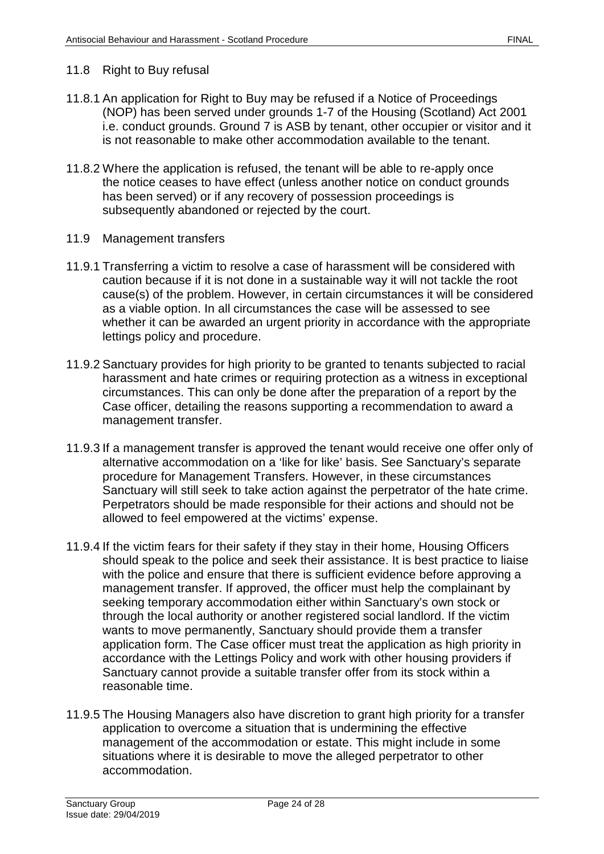#### 11.8 Right to Buy refusal

- 11.8.1 An application for Right to Buy may be refused if a Notice of Proceedings (NOP) has been served under grounds 1-7 of the Housing (Scotland) Act 2001 i.e. conduct grounds. Ground 7 is ASB by tenant, other occupier or visitor and it is not reasonable to make other accommodation available to the tenant.
- 11.8.2 Where the application is refused, the tenant will be able to re-apply once the notice ceases to have effect (unless another notice on conduct grounds has been served) or if any recovery of possession proceedings is subsequently abandoned or rejected by the court.
- 11.9 Management transfers
- 11.9.1 Transferring a victim to resolve a case of harassment will be considered with caution because if it is not done in a sustainable way it will not tackle the root cause(s) of the problem. However, in certain circumstances it will be considered as a viable option. In all circumstances the case will be assessed to see whether it can be awarded an urgent priority in accordance with the appropriate lettings policy and procedure.
- 11.9.2 Sanctuary provides for high priority to be granted to tenants subjected to racial harassment and hate crimes or requiring protection as a witness in exceptional circumstances. This can only be done after the preparation of a report by the Case officer, detailing the reasons supporting a recommendation to award a management transfer.
- 11.9.3 If a management transfer is approved the tenant would receive one offer only of alternative accommodation on a 'like for like' basis. See Sanctuary's separate procedure for Management Transfers. However, in these circumstances Sanctuary will still seek to take action against the perpetrator of the hate crime. Perpetrators should be made responsible for their actions and should not be allowed to feel empowered at the victims' expense.
- 11.9.4 If the victim fears for their safety if they stay in their home, Housing Officers should speak to the police and seek their assistance. It is best practice to liaise with the police and ensure that there is sufficient evidence before approving a management transfer. If approved, the officer must help the complainant by seeking temporary accommodation either within Sanctuary's own stock or through the local authority or another registered social landlord. If the victim wants to move permanently, Sanctuary should provide them a transfer application form. The Case officer must treat the application as high priority in accordance with the Lettings Policy and work with other housing providers if Sanctuary cannot provide a suitable transfer offer from its stock within a reasonable time.
- 11.9.5 The Housing Managers also have discretion to grant high priority for a transfer application to overcome a situation that is undermining the effective management of the accommodation or estate. This might include in some situations where it is desirable to move the alleged perpetrator to other accommodation.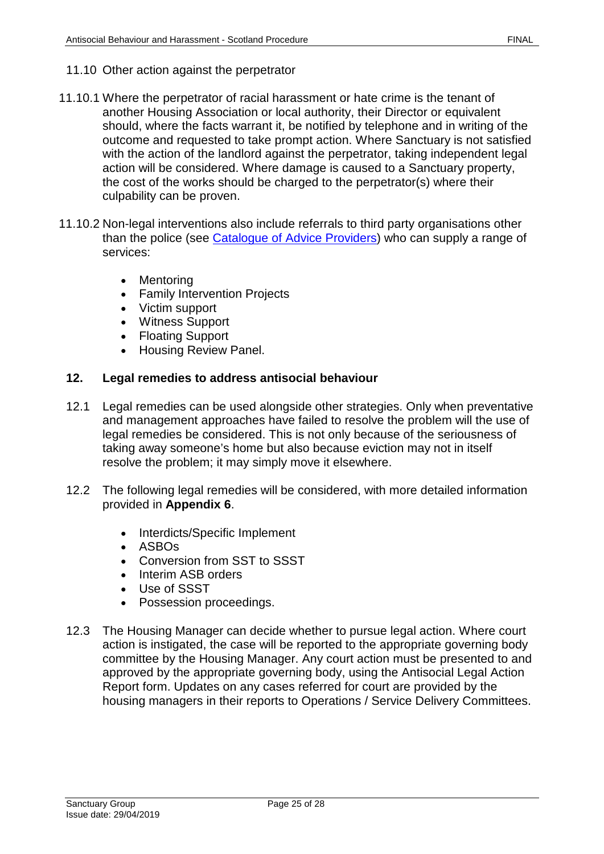#### 11.10 Other action against the perpetrator

- 11.10.1 Where the perpetrator of racial harassment or hate crime is the tenant of another Housing Association or local authority, their Director or equivalent should, where the facts warrant it, be notified by telephone and in writing of the outcome and requested to take prompt action. Where Sanctuary is not satisfied with the action of the landlord against the perpetrator, taking independent legal action will be considered. Where damage is caused to a Sanctuary property, the cost of the works should be charged to the perpetrator(s) where their culpability can be proven.
- 11.10.2 Non-legal interventions also include referrals to third party organisations other than the police (see [Catalogue of Advice](file://service/shared/Scotland/Sanctuary%20in%20Scotland/Policies%20and%20Procedures/Catalogue%20of%20advice%20providers) Providers) who can supply a range of services:
	- Mentoring
	- Family Intervention Projects
	- Victim support
	- Witness Support
	- Floating Support
	- Housing Review Panel.

## <span id="page-24-0"></span>**12. Legal remedies to address antisocial behaviour**

- 12.1 Legal remedies can be used alongside other strategies. Only when preventative and management approaches have failed to resolve the problem will the use of legal remedies be considered. This is not only because of the seriousness of taking away someone's home but also because eviction may not in itself resolve the problem; it may simply move it elsewhere.
- 12.2 The following legal remedies will be considered, with more detailed information provided in **Appendix 6**.
	- Interdicts/Specific Implement
	- ASBOs
	- Conversion from SST to SSST
	- Interim ASB orders
	- Use of SSST
	- Possession proceedings.
- 12.3 The Housing Manager can decide whether to pursue legal action. Where court action is instigated, the case will be reported to the appropriate governing body committee by the Housing Manager. Any court action must be presented to and approved by the appropriate governing body, using the Antisocial Legal Action Report form. Updates on any cases referred for court are provided by the housing managers in their reports to Operations / Service Delivery Committees.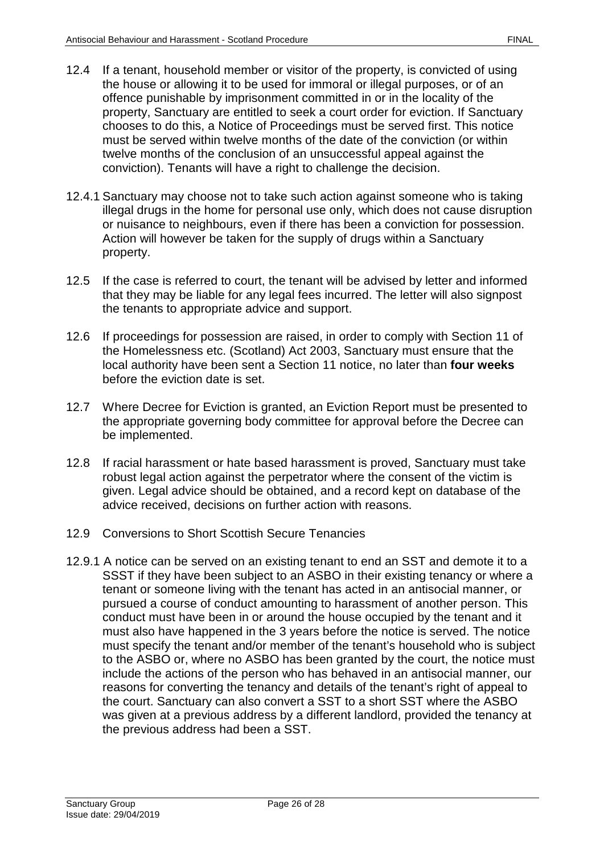- 12.4 If a tenant, household member or visitor of the property, is convicted of using the house or allowing it to be used for immoral or illegal purposes, or of an offence punishable by imprisonment committed in or in the locality of the property, Sanctuary are entitled to seek a court order for eviction. If Sanctuary chooses to do this, a Notice of Proceedings must be served first. This notice must be served within twelve months of the date of the conviction (or within twelve months of the conclusion of an unsuccessful appeal against the conviction). Tenants will have a right to challenge the decision.
- 12.4.1 Sanctuary may choose not to take such action against someone who is taking illegal drugs in the home for personal use only, which does not cause disruption or nuisance to neighbours, even if there has been a conviction for possession. Action will however be taken for the supply of drugs within a Sanctuary property.
- 12.5 If the case is referred to court, the tenant will be advised by letter and informed that they may be liable for any legal fees incurred. The letter will also signpost the tenants to appropriate advice and support.
- 12.6 If proceedings for possession are raised, in order to comply with Section 11 of the Homelessness etc. (Scotland) Act 2003, Sanctuary must ensure that the local authority have been sent a Section 11 notice, no later than **four weeks** before the eviction date is set.
- 12.7 Where Decree for Eviction is granted, an Eviction Report must be presented to the appropriate governing body committee for approval before the Decree can be implemented.
- 12.8 If racial harassment or hate based harassment is proved, Sanctuary must take robust legal action against the perpetrator where the consent of the victim is given. Legal advice should be obtained, and a record kept on database of the advice received, decisions on further action with reasons.
- 12.9 Conversions to Short Scottish Secure Tenancies
- 12.9.1 A notice can be served on an existing tenant to end an SST and demote it to a SSST if they have been subject to an ASBO in their existing tenancy or where a tenant or someone living with the tenant has acted in an antisocial manner, or pursued a course of conduct amounting to harassment of another person. This conduct must have been in or around the house occupied by the tenant and it must also have happened in the 3 years before the notice is served. The notice must specify the tenant and/or member of the tenant's household who is subject to the ASBO or, where no ASBO has been granted by the court, the notice must include the actions of the person who has behaved in an antisocial manner, our reasons for converting the tenancy and details of the tenant's right of appeal to the court. Sanctuary can also convert a SST to a short SST where the ASBO was given at a previous address by a different landlord, provided the tenancy at the previous address had been a SST.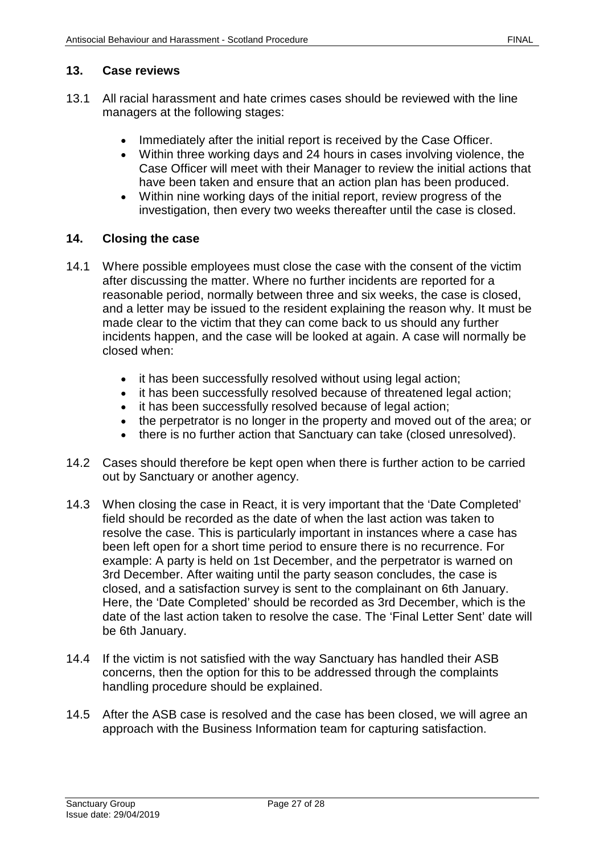## <span id="page-26-0"></span>**13. Case reviews**

- 13.1 All racial harassment and hate crimes cases should be reviewed with the line managers at the following stages:
	- Immediately after the initial report is received by the Case Officer.
	- Within three working days and 24 hours in cases involving violence, the Case Officer will meet with their Manager to review the initial actions that have been taken and ensure that an action plan has been produced.
	- Within nine working days of the initial report, review progress of the investigation, then every two weeks thereafter until the case is closed.

## <span id="page-26-1"></span>**14. Closing the case**

- 14.1 Where possible employees must close the case with the consent of the victim after discussing the matter. Where no further incidents are reported for a reasonable period, normally between three and six weeks, the case is closed, and a letter may be issued to the resident explaining the reason why. It must be made clear to the victim that they can come back to us should any further incidents happen, and the case will be looked at again. A case will normally be closed when:
	- it has been successfully resolved without using legal action;
	- it has been successfully resolved because of threatened legal action;
	- it has been successfully resolved because of legal action:
	- the perpetrator is no longer in the property and moved out of the area; or
	- there is no further action that Sanctuary can take (closed unresolved).
- 14.2 Cases should therefore be kept open when there is further action to be carried out by Sanctuary or another agency.
- 14.3 When closing the case in React, it is very important that the 'Date Completed' field should be recorded as the date of when the last action was taken to resolve the case. This is particularly important in instances where a case has been left open for a short time period to ensure there is no recurrence. For example: A party is held on 1st December, and the perpetrator is warned on 3rd December. After waiting until the party season concludes, the case is closed, and a satisfaction survey is sent to the complainant on 6th January. Here, the 'Date Completed' should be recorded as 3rd December, which is the date of the last action taken to resolve the case. The 'Final Letter Sent' date will be 6th January.
- 14.4 If the victim is not satisfied with the way Sanctuary has handled their ASB concerns, then the option for this to be addressed through the complaints handling procedure should be explained.
- 14.5 After the ASB case is resolved and the case has been closed, we will agree an approach with the Business Information team for capturing satisfaction.